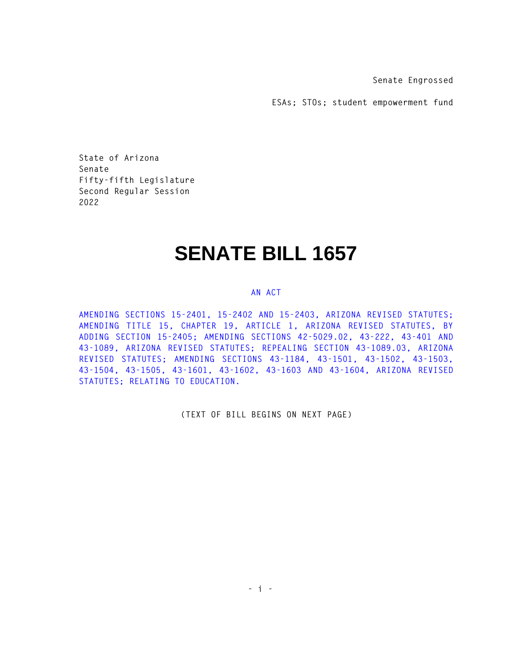**Senate Engrossed** 

**ESAs; STOs; student empowerment fund** 

**State of Arizona Senate Fifty-fifth Legislature Second Regular Session 2022** 

# **SENATE BILL 1657**

#### **AN ACT**

**AMENDING SECTIONS 15-2401, 15-2402 AND 15-2403, ARIZONA REVISED STATUTES; AMENDING TITLE 15, CHAPTER 19, ARTICLE 1, ARIZONA REVISED STATUTES, BY ADDING SECTION 15-2405; AMENDING SECTIONS 42-5029.02, 43-222, 43-401 AND 43-1089, ARIZONA REVISED STATUTES; REPEALING SECTION 43-1089.03, ARIZONA REVISED STATUTES; AMENDING SECTIONS 43-1184, 43-1501, 43-1502, 43-1503, 43-1504, 43-1505, 43-1601, 43-1602, 43-1603 AND 43-1604, ARIZONA REVISED STATUTES; RELATING TO EDUCATION.** 

**(TEXT OF BILL BEGINS ON NEXT PAGE)**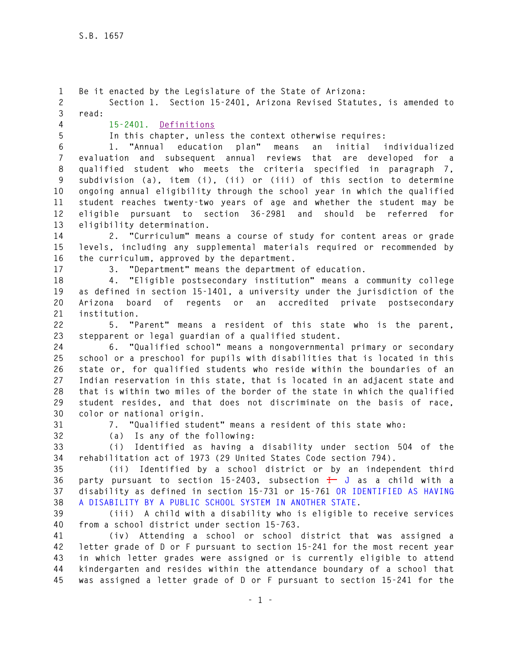**1 Be it enacted by the Legislature of the State of Arizona: 2 Section 1. Section 15-2401, Arizona Revised Statutes, is amended to 3 read: 4 15-2401. Definitions 5 In this chapter, unless the context otherwise requires: 6 1. "Annual education plan" means an initial individualized 7 evaluation and subsequent annual reviews that are developed for a 8 qualified student who meets the criteria specified in paragraph 7, 9 subdivision (a), item (i), (ii) or (iii) of this section to determine 10 ongoing annual eligibility through the school year in which the qualified 11 student reaches twenty-two years of age and whether the student may be 12 eligible pursuant to section 36-2981 and should be referred for 13 eligibility determination. 14 2. "Curriculum" means a course of study for content areas or grade 15 levels, including any supplemental materials required or recommended by 16 the curriculum, approved by the department. 17 3. "Department" means the department of education. 18 4. "Eligible postsecondary institution" means a community college 19 as defined in section 15-1401, a university under the jurisdiction of the 20 Arizona board of regents or an accredited private postsecondary 21 institution. 22 5. "Parent" means a resident of this state who is the parent, 23 stepparent or legal guardian of a qualified student. 24 6. "Qualified school" means a nongovernmental primary or secondary 25 school or a preschool for pupils with disabilities that is located in this 26 state or, for qualified students who reside within the boundaries of an 27 Indian reservation in this state, that is located in an adjacent state and 28 that is within two miles of the border of the state in which the qualified 29 student resides, and that does not discriminate on the basis of race, 30 color or national origin. 31 7. "Qualified student" means a resident of this state who: 32 (a) Is any of the following: 33 (i) Identified as having a disability under section 504 of the 34 rehabilitation act of 1973 (29 United States Code section 794). 35 (ii) Identified by a school district or by an independent third 36 party pursuant to section 15-2403, subsection I J as a child with a 37 disability as defined in section 15-731 or 15-761 OR IDENTIFIED AS HAVING 38 A DISABILITY BY A PUBLIC SCHOOL SYSTEM IN ANOTHER STATE. 39 (iii) A child with a disability who is eligible to receive services 40 from a school district under section 15-763. 41 (iv) Attending a school or school district that was assigned a 42 letter grade of D or F pursuant to section 15-241 for the most recent year 43 in which letter grades were assigned or is currently eligible to attend 44 kindergarten and resides within the attendance boundary of a school that 45 was assigned a letter grade of D or F pursuant to section 15-241 for the**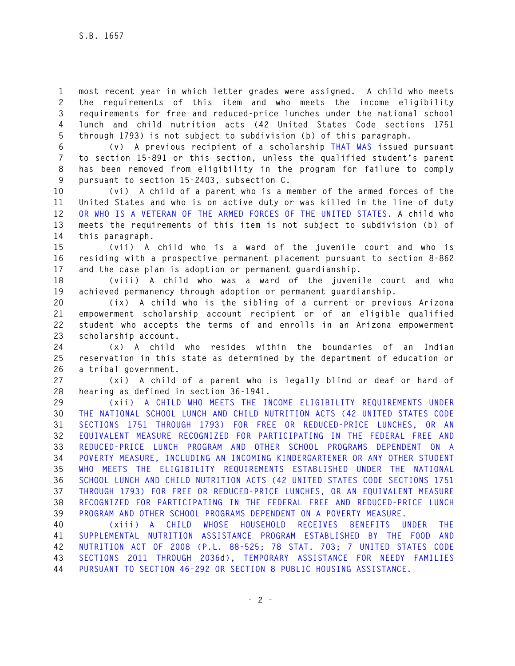**1 most recent year in which letter grades were assigned. A child who meets 2 the requirements of this item and who meets the income eligibility 3 requirements for free and reduced-price lunches under the national school 4 lunch and child nutrition acts (42 United States Code sections 1751 5 through 1793) is not subject to subdivision (b) of this paragraph.** 

**6 (v) A previous recipient of a scholarship THAT WAS issued pursuant 7 to section 15-891 or this section, unless the qualified student's parent 8 has been removed from eligibility in the program for failure to comply 9 pursuant to section 15-2403, subsection C.** 

**10 (vi) A child of a parent who is a member of the armed forces of the 11 United States and who is on active duty or was killed in the line of duty 12 OR WHO IS A VETERAN OF THE ARMED FORCES OF THE UNITED STATES. A child who 13 meets the requirements of this item is not subject to subdivision (b) of 14 this paragraph.** 

**15 (vii) A child who is a ward of the juvenile court and who is 16 residing with a prospective permanent placement pursuant to section 8-862 17 and the case plan is adoption or permanent guardianship.** 

**18 (viii) A child who was a ward of the juvenile court and who 19 achieved permanency through adoption or permanent guardianship.** 

**20 (ix) A child who is the sibling of a current or previous Arizona 21 empowerment scholarship account recipient or of an eligible qualified 22 student who accepts the terms of and enrolls in an Arizona empowerment 23 scholarship account.** 

**24 (x) A child who resides within the boundaries of an Indian 25 reservation in this state as determined by the department of education or 26 a tribal government.** 

**27 (xi) A child of a parent who is legally blind or deaf or hard of 28 hearing as defined in section 36-1941.** 

**29 (xii) A CHILD WHO MEETS THE INCOME ELIGIBILITY REQUIREMENTS UNDER 30 THE NATIONAL SCHOOL LUNCH AND CHILD NUTRITION ACTS (42 UNITED STATES CODE 31 SECTIONS 1751 THROUGH 1793) FOR FREE OR REDUCED-PRICE LUNCHES, OR AN 32 EQUIVALENT MEASURE RECOGNIZED FOR PARTICIPATING IN THE FEDERAL FREE AND 33 REDUCED-PRICE LUNCH PROGRAM AND OTHER SCHOOL PROGRAMS DEPENDENT ON A 34 POVERTY MEASURE, INCLUDING AN INCOMING KINDERGARTENER OR ANY OTHER STUDENT 35 WHO MEETS THE ELIGIBILITY REQUIREMENTS ESTABLISHED UNDER THE NATIONAL 36 SCHOOL LUNCH AND CHILD NUTRITION ACTS (42 UNITED STATES CODE SECTIONS 1751 37 THROUGH 1793) FOR FREE OR REDUCED-PRICE LUNCHES, OR AN EQUIVALENT MEASURE 38 RECOGNIZED FOR PARTICIPATING IN THE FEDERAL FREE AND REDUCED-PRICE LUNCH 39 PROGRAM AND OTHER SCHOOL PROGRAMS DEPENDENT ON A POVERTY MEASURE.** 

**40 (xiii) A CHILD WHOSE HOUSEHOLD RECEIVES BENEFITS UNDER THE 41 SUPPLEMENTAL NUTRITION ASSISTANCE PROGRAM ESTABLISHED BY THE FOOD AND 42 NUTRITION ACT OF 2008 (P.L. 88-525; 78 STAT. 703; 7 UNITED STATES CODE 43 SECTIONS 2011 THROUGH 2036d), TEMPORARY ASSISTANCE FOR NEEDY FAMILIES 44 PURSUANT TO SECTION 46-292 OR SECTION 8 PUBLIC HOUSING ASSISTANCE.**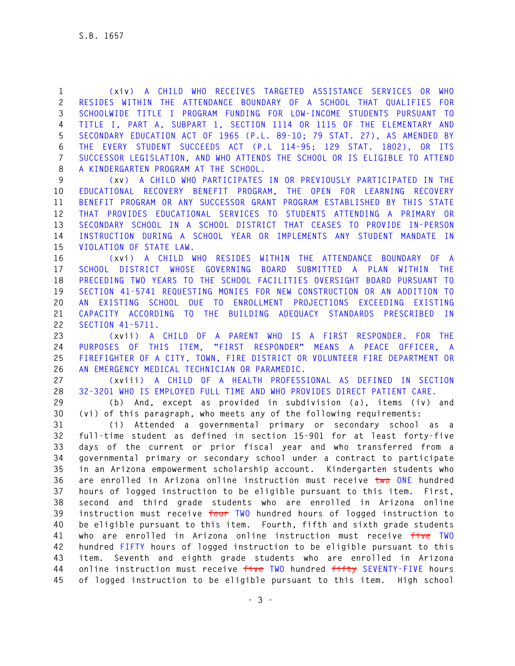**1 (xiv) A CHILD WHO RECEIVES TARGETED ASSISTANCE SERVICES OR WHO 2 RESIDES WITHIN THE ATTENDANCE BOUNDARY OF A SCHOOL THAT QUALIFIES FOR 3 SCHOOLWIDE TITLE I PROGRAM FUNDING FOR LOW-INCOME STUDENTS PURSUANT TO 4 TITLE I, PART A, SUBPART 1, SECTION 1114 OR 1115 OF THE ELEMENTARY AND 5 SECONDARY EDUCATION ACT OF 1965 (P.L. 89-10; 79 STAT. 27), AS AMENDED BY 6 THE EVERY STUDENT SUCCEEDS ACT (P.L 114-95; 129 STAT. 1802), OR ITS 7 SUCCESSOR LEGISLATION, AND WHO ATTENDS THE SCHOOL OR IS ELIGIBLE TO ATTEND 8 A KINDERGARTEN PROGRAM AT THE SCHOOL.** 

**9 (xv) A CHILD WHO PARTICIPATES IN OR PREVIOUSLY PARTICIPATED IN THE 10 EDUCATIONAL RECOVERY BENEFIT PROGRAM, THE OPEN FOR LEARNING RECOVERY 11 BENEFIT PROGRAM OR ANY SUCCESSOR GRANT PROGRAM ESTABLISHED BY THIS STATE 12 THAT PROVIDES EDUCATIONAL SERVICES TO STUDENTS ATTENDING A PRIMARY OR 13 SECONDARY SCHOOL IN A SCHOOL DISTRICT THAT CEASES TO PROVIDE IN-PERSON 14 INSTRUCTION DURING A SCHOOL YEAR OR IMPLEMENTS ANY STUDENT MANDATE IN 15 VIOLATION OF STATE LAW.** 

**16 (xvi) A CHILD WHO RESIDES WITHIN THE ATTENDANCE BOUNDARY OF A 17 SCHOOL DISTRICT WHOSE GOVERNING BOARD SUBMITTED A PLAN WITHIN THE 18 PRECEDING TWO YEARS TO THE SCHOOL FACILITIES OVERSIGHT BOARD PURSUANT TO 19 SECTION 41-5741 REQUESTING MONIES FOR NEW CONSTRUCTION OR AN ADDITION TO 20 AN EXISTING SCHOOL DUE TO ENROLLMENT PROJECTIONS EXCEEDING EXISTING 21 CAPACITY ACCORDING TO THE BUILDING ADEQUACY STANDARDS PRESCRIBED IN 22 SECTION 41-5711.** 

**23 (xvii) A CHILD OF A PARENT WHO IS A FIRST RESPONDER. FOR THE 24 PURPOSES OF THIS ITEM, "FIRST RESPONDER" MEANS A PEACE OFFICER, A 25 FIREFIGHTER OF A CITY, TOWN, FIRE DISTRICT OR VOLUNTEER FIRE DEPARTMENT OR 26 AN EMERGENCY MEDICAL TECHNICIAN OR PARAMEDIC.** 

**27 (xviii) A CHILD OF A HEALTH PROFESSIONAL AS DEFINED IN SECTION 28 32-3201 WHO IS EMPLOYED FULL TIME AND WHO PROVIDES DIRECT PATIENT CARE.** 

**29 (b) And, except as provided in subdivision (a), items (iv) and 30 (vi) of this paragraph, who meets any of the following requirements:** 

**31 (i) Attended a governmental primary or secondary school as a 32 full-time student as defined in section 15-901 for at least forty-five 33 days of the current or prior fiscal year and who transferred from a 34 governmental primary or secondary school under a contract to participate 35 in an Arizona empowerment scholarship account. Kindergarten students who 36 are enrolled in Arizona online instruction must receive two ONE hundred 37 hours of logged instruction to be eligible pursuant to this item. First, 38 second and third grade students who are enrolled in Arizona online 39 instruction must receive four TWO hundred hours of logged instruction to 40 be eligible pursuant to this item. Fourth, fifth and sixth grade students 41 who are enrolled in Arizona online instruction must receive five TWO 42 hundred FIFTY hours of logged instruction to be eligible pursuant to this 43 item. Seventh and eighth grade students who are enrolled in Arizona 44 online instruction must receive five TWO hundred fifty SEVENTY-FIVE hours 45 of logged instruction to be eligible pursuant to this item. High school**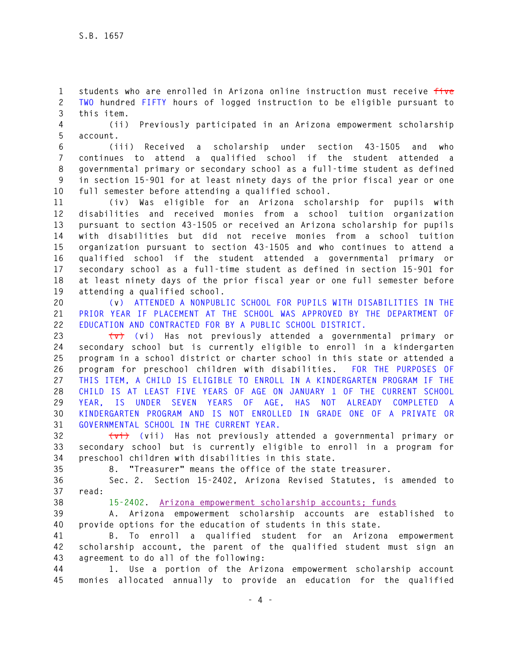**1 students who are enrolled in Arizona online instruction must receive five 2 TWO hundred FIFTY hours of logged instruction to be eligible pursuant to 3 this item.** 

**4 (ii) Previously participated in an Arizona empowerment scholarship 5 account.** 

**6 (iii) Received a scholarship under section 43-1505 and who 7 continues to attend a qualified school if the student attended a 8 governmental primary or secondary school as a full-time student as defined 9 in section 15-901 for at least ninety days of the prior fiscal year or one 10 full semester before attending a qualified school.** 

**11 (iv) Was eligible for an Arizona scholarship for pupils with 12 disabilities and received monies from a school tuition organization 13 pursuant to section 43-1505 or received an Arizona scholarship for pupils 14 with disabilities but did not receive monies from a school tuition 15 organization pursuant to section 43-1505 and who continues to attend a 16 qualified school if the student attended a governmental primary or 17 secondary school as a full-time student as defined in section 15-901 for 18 at least ninety days of the prior fiscal year or one full semester before 19 attending a qualified school.** 

**20 (v) ATTENDED A NONPUBLIC SCHOOL FOR PUPILS WITH DISABILITIES IN THE 21 PRIOR YEAR IF PLACEMENT AT THE SCHOOL WAS APPROVED BY THE DEPARTMENT OF 22 EDUCATION AND CONTRACTED FOR BY A PUBLIC SCHOOL DISTRICT.** 

**23 (v) (vi) Has not previously attended a governmental primary or 24 secondary school but is currently eligible to enroll in a kindergarten 25 program in a school district or charter school in this state or attended a 26 program for preschool children with disabilities. FOR THE PURPOSES OF 27 THIS ITEM, A CHILD IS ELIGIBLE TO ENROLL IN A KINDERGARTEN PROGRAM IF THE 28 CHILD IS AT LEAST FIVE YEARS OF AGE ON JANUARY 1 OF THE CURRENT SCHOOL 29 YEAR, IS UNDER SEVEN YEARS OF AGE, HAS NOT ALREADY COMPLETED A 30 KINDERGARTEN PROGRAM AND IS NOT ENROLLED IN GRADE ONE OF A PRIVATE OR 31 GOVERNMENTAL SCHOOL IN THE CURRENT YEAR.** 

**32 (vi) (vii) Has not previously attended a governmental primary or 33 secondary school but is currently eligible to enroll in a program for 34 preschool children with disabilities in this state.** 

**35 8. "Treasurer" means the office of the state treasurer.** 

**36 Sec. 2. Section 15-2402, Arizona Revised Statutes, is amended to 37 read:** 

**38 15-2402. Arizona empowerment scholarship accounts; funds**

**39 A. Arizona empowerment scholarship accounts are established to 40 provide options for the education of students in this state.** 

**41 B. To enroll a qualified student for an Arizona empowerment 42 scholarship account, the parent of the qualified student must sign an 43 agreement to do all of the following:** 

**44 1. Use a portion of the Arizona empowerment scholarship account 45 monies allocated annually to provide an education for the qualified**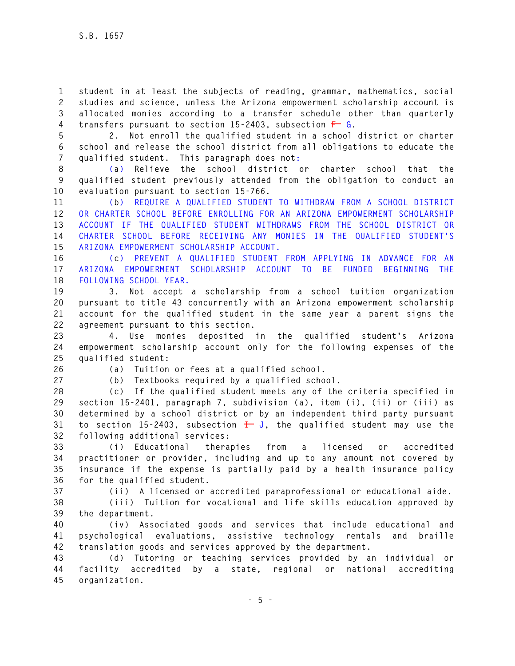**1 student in at least the subjects of reading, grammar, mathematics, social 2 studies and science, unless the Arizona empowerment scholarship account is 3 allocated monies according to a transfer schedule other than quarterly 4 transfers pursuant to section 15-2403, subsection F G.** 

**5 2. Not enroll the qualified student in a school district or charter 6 school and release the school district from all obligations to educate the 7 qualified student. This paragraph does not:** 

**8 (a) Relieve the school district or charter school that the 9 qualified student previously attended from the obligation to conduct an 10 evaluation pursuant to section 15-766.** 

**11 (b) REQUIRE A QUALIFIED STUDENT TO WITHDRAW FROM A SCHOOL DISTRICT 12 OR CHARTER SCHOOL BEFORE ENROLLING FOR AN ARIZONA EMPOWERMENT SCHOLARSHIP 13 ACCOUNT IF THE QUALIFIED STUDENT WITHDRAWS FROM THE SCHOOL DISTRICT OR 14 CHARTER SCHOOL BEFORE RECEIVING ANY MONIES IN THE QUALIFIED STUDENT'S 15 ARIZONA EMPOWERMENT SCHOLARSHIP ACCOUNT.** 

**16 (c) PREVENT A QUALIFIED STUDENT FROM APPLYING IN ADVANCE FOR AN 17 ARIZONA EMPOWERMENT SCHOLARSHIP ACCOUNT TO BE FUNDED BEGINNING THE 18 FOLLOWING SCHOOL YEAR.** 

**19 3. Not accept a scholarship from a school tuition organization 20 pursuant to title 43 concurrently with an Arizona empowerment scholarship 21 account for the qualified student in the same year a parent signs the 22 agreement pursuant to this section.** 

**23 4. Use monies deposited in the qualified student's Arizona 24 empowerment scholarship account only for the following expenses of the 25 qualified student:** 

**26 (a) Tuition or fees at a qualified school.** 

**27 (b) Textbooks required by a qualified school.** 

**28 (c) If the qualified student meets any of the criteria specified in 29 section 15-2401, paragraph 7, subdivision (a), item (i), (ii) or (iii) as 30 determined by a school district or by an independent third party pursuant 31 to section 15-2403, subsection I J, the qualified student may use the 32 following additional services:** 

**33 (i) Educational therapies from a licensed or accredited 34 practitioner or provider, including and up to any amount not covered by 35 insurance if the expense is partially paid by a health insurance policy 36 for the qualified student.** 

**37 (ii) A licensed or accredited paraprofessional or educational aide.** 

**38 (iii) Tuition for vocational and life skills education approved by 39 the department.** 

**40 (iv) Associated goods and services that include educational and 41 psychological evaluations, assistive technology rentals and braille 42 translation goods and services approved by the department.** 

**43 (d) Tutoring or teaching services provided by an individual or 44 facility accredited by a state, regional or national accrediting 45 organization.**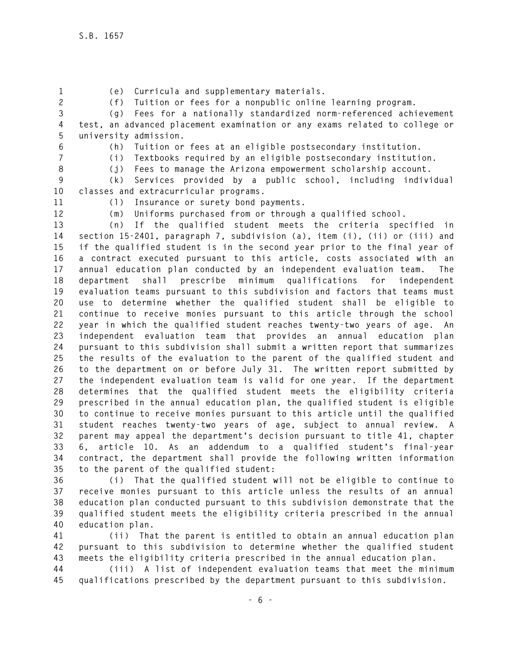- 
- **1 (e) Curricula and supplementary materials.**

**2 (f) Tuition or fees for a nonpublic online learning program.** 

**3 (g) Fees for a nationally standardized norm-referenced achievement 4 test, an advanced placement examination or any exams related to college or 5 university admission.** 

**6 (h) Tuition or fees at an eligible postsecondary institution.** 

**7 (i) Textbooks required by an eligible postsecondary institution.** 

**8 (j) Fees to manage the Arizona empowerment scholarship account.** 

**9 (k) Services provided by a public school, including individual 10 classes and extracurricular programs.** 

**11 (l) Insurance or surety bond payments.** 

**12 (m) Uniforms purchased from or through a qualified school.** 

**13 (n) If the qualified student meets the criteria specified in 14 section 15-2401, paragraph 7, subdivision (a), item (i), (ii) or (iii) and 15 if the qualified student is in the second year prior to the final year of 16 a contract executed pursuant to this article, costs associated with an 17 annual education plan conducted by an independent evaluation team. The 18 department shall prescribe minimum qualifications for independent 19 evaluation teams pursuant to this subdivision and factors that teams must 20 use to determine whether the qualified student shall be eligible to 21 continue to receive monies pursuant to this article through the school 22 year in which the qualified student reaches twenty-two years of age. An 23 independent evaluation team that provides an annual education plan 24 pursuant to this subdivision shall submit a written report that summarizes 25 the results of the evaluation to the parent of the qualified student and 26 to the department on or before July 31. The written report submitted by 27 the independent evaluation team is valid for one year. If the department 28 determines that the qualified student meets the eligibility criteria 29 prescribed in the annual education plan, the qualified student is eligible 30 to continue to receive monies pursuant to this article until the qualified 31 student reaches twenty-two years of age, subject to annual review. A 32 parent may appeal the department's decision pursuant to title 41, chapter 33 6, article 10. As an addendum to a qualified student's final-year 34 contract, the department shall provide the following written information 35 to the parent of the qualified student:** 

**36 (i) That the qualified student will not be eligible to continue to 37 receive monies pursuant to this article unless the results of an annual 38 education plan conducted pursuant to this subdivision demonstrate that the 39 qualified student meets the eligibility criteria prescribed in the annual 40 education plan.** 

**41 (ii) That the parent is entitled to obtain an annual education plan 42 pursuant to this subdivision to determine whether the qualified student 43 meets the eligibility criteria prescribed in the annual education plan.** 

**44 (iii) A list of independent evaluation teams that meet the minimum 45 qualifications prescribed by the department pursuant to this subdivision.**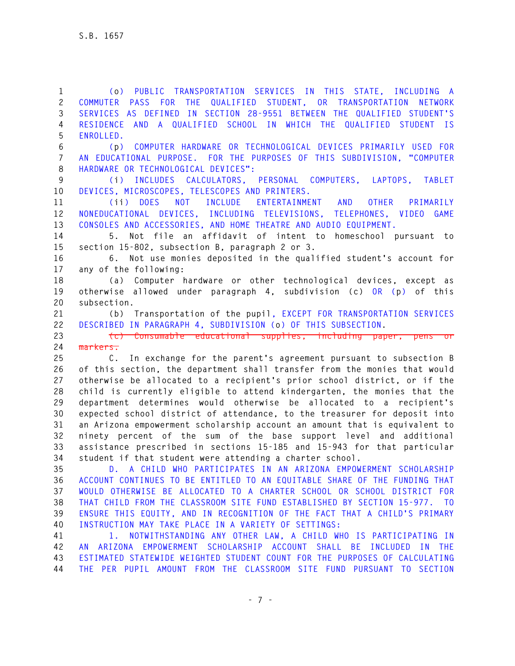**1 (o) PUBLIC TRANSPORTATION SERVICES IN THIS STATE, INCLUDING A 2 COMMUTER PASS FOR THE QUALIFIED STUDENT, OR TRANSPORTATION NETWORK 3 SERVICES AS DEFINED IN SECTION 28-9551 BETWEEN THE QUALIFIED STUDENT'S 4 RESIDENCE AND A QUALIFIED SCHOOL IN WHICH THE QUALIFIED STUDENT IS 5 ENROLLED.** 

**6 (p) COMPUTER HARDWARE OR TECHNOLOGICAL DEVICES PRIMARILY USED FOR 7 AN EDUCATIONAL PURPOSE. FOR THE PURPOSES OF THIS SUBDIVISION, "COMPUTER 8 HARDWARE OR TECHNOLOGICAL DEVICES":** 

**9 (i) INCLUDES CALCULATORS, PERSONAL COMPUTERS, LAPTOPS, TABLET 10 DEVICES, MICROSCOPES, TELESCOPES AND PRINTERS.** 

**11 (ii) DOES NOT INCLUDE ENTERTAINMENT AND OTHER PRIMARILY 12 NONEDUCATIONAL DEVICES, INCLUDING TELEVISIONS, TELEPHONES, VIDEO GAME 13 CONSOLES AND ACCESSORIES, AND HOME THEATRE AND AUDIO EQUIPMENT.** 

**14 5. Not file an affidavit of intent to homeschool pursuant to 15 section 15-802, subsection B, paragraph 2 or 3.** 

**16 6. Not use monies deposited in the qualified student's account for 17 any of the following:** 

**18 (a) Computer hardware or other technological devices, except as 19 otherwise allowed under paragraph 4, subdivision (c) OR (p) of this 20 subsection.** 

**21 (b) Transportation of the pupil, EXCEPT FOR TRANSPORTATION SERVICES 22 DESCRIBED IN PARAGRAPH 4, SUBDIVISION (o) OF THIS SUBSECTION.** 

23 **(c)** Consumable educational supplies, including paper, pens **24 markers.** 

**25 C. In exchange for the parent's agreement pursuant to subsection B 26 of this section, the department shall transfer from the monies that would 27 otherwise be allocated to a recipient's prior school district, or if the 28 child is currently eligible to attend kindergarten, the monies that the 29 department determines would otherwise be allocated to a recipient's 30 expected school district of attendance, to the treasurer for deposit into 31 an Arizona empowerment scholarship account an amount that is equivalent to 32 ninety percent of the sum of the base support level and additional 33 assistance prescribed in sections 15-185 and 15-943 for that particular 34 student if that student were attending a charter school.** 

**35 D. A CHILD WHO PARTICIPATES IN AN ARIZONA EMPOWERMENT SCHOLARSHIP 36 ACCOUNT CONTINUES TO BE ENTITLED TO AN EQUITABLE SHARE OF THE FUNDING THAT 37 WOULD OTHERWISE BE ALLOCATED TO A CHARTER SCHOOL OR SCHOOL DISTRICT FOR 38 THAT CHILD FROM THE CLASSROOM SITE FUND ESTABLISHED BY SECTION 15-977. TO 39 ENSURE THIS EQUITY, AND IN RECOGNITION OF THE FACT THAT A CHILD'S PRIMARY 40 INSTRUCTION MAY TAKE PLACE IN A VARIETY OF SETTINGS:** 

**41 1. NOTWITHSTANDING ANY OTHER LAW, A CHILD WHO IS PARTICIPATING IN 42 AN ARIZONA EMPOWERMENT SCHOLARSHIP ACCOUNT SHALL BE INCLUDED IN THE 43 ESTIMATED STATEWIDE WEIGHTED STUDENT COUNT FOR THE PURPOSES OF CALCULATING 44 THE PER PUPIL AMOUNT FROM THE CLASSROOM SITE FUND PURSUANT TO SECTION**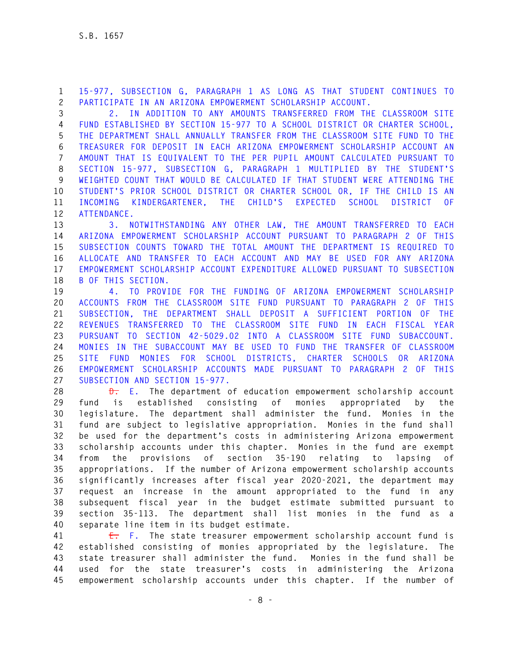**1 15-977, SUBSECTION G, PARAGRAPH 1 AS LONG AS THAT STUDENT CONTINUES TO 2 PARTICIPATE IN AN ARIZONA EMPOWERMENT SCHOLARSHIP ACCOUNT.** 

**3 2. IN ADDITION TO ANY AMOUNTS TRANSFERRED FROM THE CLASSROOM SITE 4 FUND ESTABLISHED BY SECTION 15-977 TO A SCHOOL DISTRICT OR CHARTER SCHOOL, 5 THE DEPARTMENT SHALL ANNUALLY TRANSFER FROM THE CLASSROOM SITE FUND TO THE 6 TREASURER FOR DEPOSIT IN EACH ARIZONA EMPOWERMENT SCHOLARSHIP ACCOUNT AN 7 AMOUNT THAT IS EQUIVALENT TO THE PER PUPIL AMOUNT CALCULATED PURSUANT TO 8 SECTION 15-977, SUBSECTION G, PARAGRAPH 1 MULTIPLIED BY THE STUDENT'S 9 WEIGHTED COUNT THAT WOULD BE CALCULATED IF THAT STUDENT WERE ATTENDING THE 10 STUDENT'S PRIOR SCHOOL DISTRICT OR CHARTER SCHOOL OR, IF THE CHILD IS AN 11 INCOMING KINDERGARTENER, THE CHILD'S EXPECTED SCHOOL DISTRICT OF 12 ATTENDANCE.** 

**13 3. NOTWITHSTANDING ANY OTHER LAW, THE AMOUNT TRANSFERRED TO EACH 14 ARIZONA EMPOWERMENT SCHOLARSHIP ACCOUNT PURSUANT TO PARAGRAPH 2 OF THIS 15 SUBSECTION COUNTS TOWARD THE TOTAL AMOUNT THE DEPARTMENT IS REQUIRED TO 16 ALLOCATE AND TRANSFER TO EACH ACCOUNT AND MAY BE USED FOR ANY ARIZONA 17 EMPOWERMENT SCHOLARSHIP ACCOUNT EXPENDITURE ALLOWED PURSUANT TO SUBSECTION 18 B OF THIS SECTION.** 

**19 4. TO PROVIDE FOR THE FUNDING OF ARIZONA EMPOWERMENT SCHOLARSHIP 20 ACCOUNTS FROM THE CLASSROOM SITE FUND PURSUANT TO PARAGRAPH 2 OF THIS 21 SUBSECTION, THE DEPARTMENT SHALL DEPOSIT A SUFFICIENT PORTION OF THE 22 REVENUES TRANSFERRED TO THE CLASSROOM SITE FUND IN EACH FISCAL YEAR 23 PURSUANT TO SECTION 42-5029.02 INTO A CLASSROOM SITE FUND SUBACCOUNT. 24 MONIES IN THE SUBACCOUNT MAY BE USED TO FUND THE TRANSFER OF CLASSROOM 25 SITE FUND MONIES FOR SCHOOL DISTRICTS, CHARTER SCHOOLS OR ARIZONA 26 EMPOWERMENT SCHOLARSHIP ACCOUNTS MADE PURSUANT TO PARAGRAPH 2 OF THIS 27 SUBSECTION AND SECTION 15-977.** 

**28 D. E. The department of education empowerment scholarship account 29 fund is established consisting of monies appropriated by the 30 legislature. The department shall administer the fund. Monies in the 31 fund are subject to legislative appropriation. Monies in the fund shall 32 be used for the department's costs in administering Arizona empowerment 33 scholarship accounts under this chapter. Monies in the fund are exempt 34 from the provisions of section 35-190 relating to lapsing of 35 appropriations. If the number of Arizona empowerment scholarship accounts 36 significantly increases after fiscal year 2020-2021, the department may 37 request an increase in the amount appropriated to the fund in any 38 subsequent fiscal year in the budget estimate submitted pursuant to 39 section 35-113. The department shall list monies in the fund as a 40 separate line item in its budget estimate.** 

**41 E. F. The state treasurer empowerment scholarship account fund is 42 established consisting of monies appropriated by the legislature. The 43 state treasurer shall administer the fund. Monies in the fund shall be 44 used for the state treasurer's costs in administering the Arizona 45 empowerment scholarship accounts under this chapter. If the number of**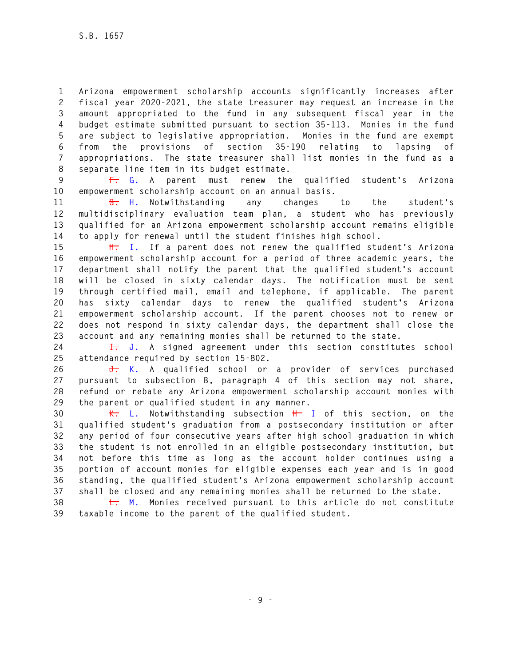**1 Arizona empowerment scholarship accounts significantly increases after 2 fiscal year 2020-2021, the state treasurer may request an increase in the 3 amount appropriated to the fund in any subsequent fiscal year in the 4 budget estimate submitted pursuant to section 35-113. Monies in the fund 5 are subject to legislative appropriation. Monies in the fund are exempt 6 from the provisions of section 35-190 relating to lapsing of 7 appropriations. The state treasurer shall list monies in the fund as a 8 separate line item in its budget estimate.** 

**9 F. G. A parent must renew the qualified student's Arizona 10 empowerment scholarship account on an annual basis.** 

**11 G. H. Notwithstanding any changes to the student's 12 multidisciplinary evaluation team plan, a student who has previously 13 qualified for an Arizona empowerment scholarship account remains eligible 14 to apply for renewal until the student finishes high school.** 

**15 H. I. If a parent does not renew the qualified student's Arizona 16 empowerment scholarship account for a period of three academic years, the 17 department shall notify the parent that the qualified student's account 18 will be closed in sixty calendar days. The notification must be sent 19 through certified mail, email and telephone, if applicable. The parent 20 has sixty calendar days to renew the qualified student's Arizona 21 empowerment scholarship account. If the parent chooses not to renew or 22 does not respond in sixty calendar days, the department shall close the 23 account and any remaining monies shall be returned to the state.** 

**24 I. J. A signed agreement under this section constitutes school 25 attendance required by section 15-802.** 

**26 J. K. A qualified school or a provider of services purchased 27 pursuant to subsection B, paragraph 4 of this section may not share, 28 refund or rebate any Arizona empowerment scholarship account monies with 29 the parent or qualified student in any manner.** 

**30 K. L. Notwithstanding subsection H I of this section, on the 31 qualified student's graduation from a postsecondary institution or after 32 any period of four consecutive years after high school graduation in which 33 the student is not enrolled in an eligible postsecondary institution, but 34 not before this time as long as the account holder continues using a 35 portion of account monies for eligible expenses each year and is in good 36 standing, the qualified student's Arizona empowerment scholarship account 37 shall be closed and any remaining monies shall be returned to the state.** 

**38 L. M. Monies received pursuant to this article do not constitute 39 taxable income to the parent of the qualified student.**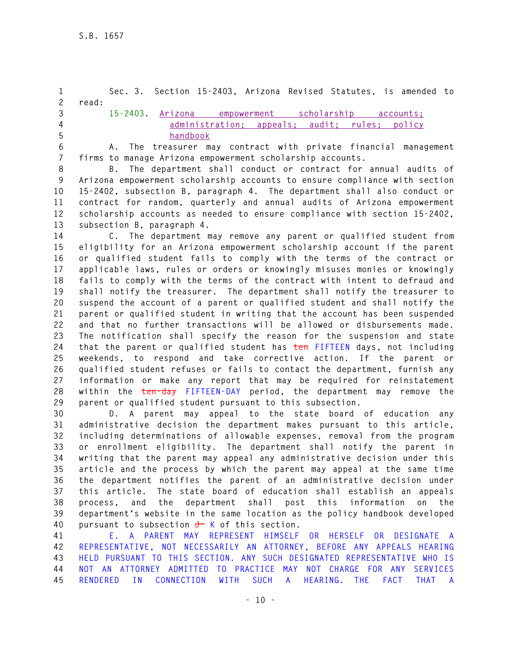**1 Sec. 3. Section 15-2403, Arizona Revised Statutes, is amended to 2 read: 3 15-2403. Arizona empowerment scholarship accounts; 4 administration; appeals; audit; rules; policy 5 handbook 6 A. The treasurer may contract with private financial management 7 firms to manage Arizona empowerment scholarship accounts.** 

**8 B. The department shall conduct or contract for annual audits of 9 Arizona empowerment scholarship accounts to ensure compliance with section 10 15-2402, subsection B, paragraph 4. The department shall also conduct or 11 contract for random, quarterly and annual audits of Arizona empowerment 12 scholarship accounts as needed to ensure compliance with section 15-2402, 13 subsection B, paragraph 4.** 

**14 C. The department may remove any parent or qualified student from 15 eligibility for an Arizona empowerment scholarship account if the parent 16 or qualified student fails to comply with the terms of the contract or 17 applicable laws, rules or orders or knowingly misuses monies or knowingly 18 fails to comply with the terms of the contract with intent to defraud and 19 shall notify the treasurer. The department shall notify the treasurer to 20 suspend the account of a parent or qualified student and shall notify the 21 parent or qualified student in writing that the account has been suspended 22 and that no further transactions will be allowed or disbursements made. 23 The notification shall specify the reason for the suspension and state 24 that the parent or qualified student has ten FIFTEEN days, not including 25 weekends, to respond and take corrective action. If the parent or 26 qualified student refuses or fails to contact the department, furnish any 27 information or make any report that may be required for reinstatement 28 within the ten-day FIFTEEN-DAY period, the department may remove the 29 parent or qualified student pursuant to this subsection.** 

**30 D. A parent may appeal to the state board of education any 31 administrative decision the department makes pursuant to this article, 32 including determinations of allowable expenses, removal from the program 33 or enrollment eligibility. The department shall notify the parent in 34 writing that the parent may appeal any administrative decision under this 35 article and the process by which the parent may appeal at the same time 36 the department notifies the parent of an administrative decision under 37 this article. The state board of education shall establish an appeals 38 process, and the department shall post this information on the 39 department's website in the same location as the policy handbook developed 40 pursuant to subsection J K of this section.** 

**41 E. A PARENT MAY REPRESENT HIMSELF OR HERSELF OR DESIGNATE A 42 REPRESENTATIVE, NOT NECESSARILY AN ATTORNEY, BEFORE ANY APPEALS HEARING 43 HELD PURSUANT TO THIS SECTION. ANY SUCH DESIGNATED REPRESENTATIVE WHO IS 44 NOT AN ATTORNEY ADMITTED TO PRACTICE MAY NOT CHARGE FOR ANY SERVICES 45 RENDERED IN CONNECTION WITH SUCH A HEARING. THE FACT THAT A**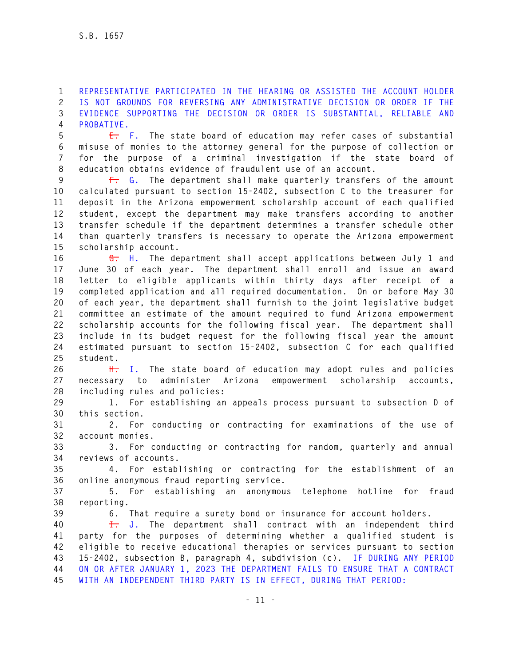**1 REPRESENTATIVE PARTICIPATED IN THE HEARING OR ASSISTED THE ACCOUNT HOLDER 2 IS NOT GROUNDS FOR REVERSING ANY ADMINISTRATIVE DECISION OR ORDER IF THE 3 EVIDENCE SUPPORTING THE DECISION OR ORDER IS SUBSTANTIAL, RELIABLE AND 4 PROBATIVE.** 

**5 E. F. The state board of education may refer cases of substantial 6 misuse of monies to the attorney general for the purpose of collection or 7 for the purpose of a criminal investigation if the state board of 8 education obtains evidence of fraudulent use of an account.** 

**9 F. G. The department shall make quarterly transfers of the amount 10 calculated pursuant to section 15-2402, subsection C to the treasurer for 11 deposit in the Arizona empowerment scholarship account of each qualified 12 student, except the department may make transfers according to another 13 transfer schedule if the department determines a transfer schedule other 14 than quarterly transfers is necessary to operate the Arizona empowerment 15 scholarship account.** 

**16 G. H. The department shall accept applications between July 1 and 17 June 30 of each year. The department shall enroll and issue an award 18 letter to eligible applicants within thirty days after receipt of a 19 completed application and all required documentation. On or before May 30 20 of each year, the department shall furnish to the joint legislative budget 21 committee an estimate of the amount required to fund Arizona empowerment 22 scholarship accounts for the following fiscal year. The department shall 23 include in its budget request for the following fiscal year the amount 24 estimated pursuant to section 15-2402, subsection C for each qualified 25 student.** 

**26 H. I. The state board of education may adopt rules and policies 27 necessary to administer Arizona empowerment scholarship accounts, 28 including rules and policies:** 

**29 1. For establishing an appeals process pursuant to subsection D of 30 this section.** 

**31 2. For conducting or contracting for examinations of the use of 32 account monies.** 

**33 3. For conducting or contracting for random, quarterly and annual 34 reviews of accounts.** 

**35 4. For establishing or contracting for the establishment of an 36 online anonymous fraud reporting service.** 

**37 5. For establishing an anonymous telephone hotline for fraud 38 reporting.** 

**39 6. That require a surety bond or insurance for account holders.** 

**40 I. J. The department shall contract with an independent third 41 party for the purposes of determining whether a qualified student is 42 eligible to receive educational therapies or services pursuant to section 43 15-2402, subsection B, paragraph 4, subdivision (c). IF DURING ANY PERIOD 44 ON OR AFTER JANUARY 1, 2023 THE DEPARTMENT FAILS TO ENSURE THAT A CONTRACT 45 WITH AN INDEPENDENT THIRD PARTY IS IN EFFECT, DURING THAT PERIOD:**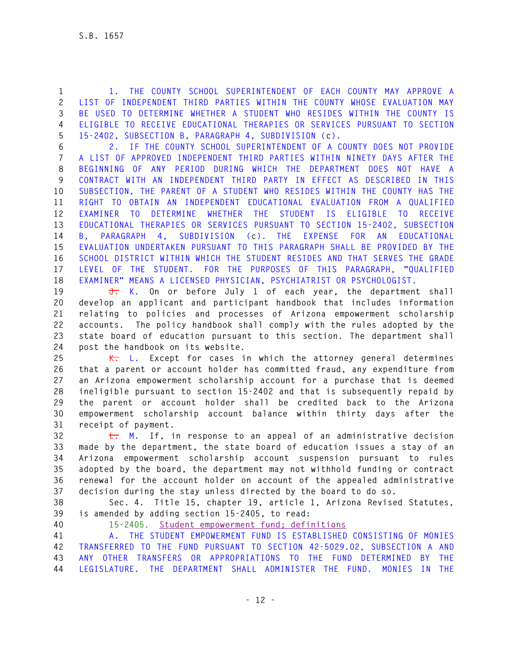**1 1. THE COUNTY SCHOOL SUPERINTENDENT OF EACH COUNTY MAY APPROVE A 2 LIST OF INDEPENDENT THIRD PARTIES WITHIN THE COUNTY WHOSE EVALUATION MAY 3 BE USED TO DETERMINE WHETHER A STUDENT WHO RESIDES WITHIN THE COUNTY IS 4 ELIGIBLE TO RECEIVE EDUCATIONAL THERAPIES OR SERVICES PURSUANT TO SECTION 5 15-2402, SUBSECTION B, PARAGRAPH 4, SUBDIVISION (c).** 

**6 2. IF THE COUNTY SCHOOL SUPERINTENDENT OF A COUNTY DOES NOT PROVIDE 7 A LIST OF APPROVED INDEPENDENT THIRD PARTIES WITHIN NINETY DAYS AFTER THE 8 BEGINNING OF ANY PERIOD DURING WHICH THE DEPARTMENT DOES NOT HAVE A 9 CONTRACT WITH AN INDEPENDENT THIRD PARTY IN EFFECT AS DESCRIBED IN THIS 10 SUBSECTION, THE PARENT OF A STUDENT WHO RESIDES WITHIN THE COUNTY HAS THE 11 RIGHT TO OBTAIN AN INDEPENDENT EDUCATIONAL EVALUATION FROM A QUALIFIED 12 EXAMINER TO DETERMINE WHETHER THE STUDENT IS ELIGIBLE TO RECEIVE 13 EDUCATIONAL THERAPIES OR SERVICES PURSUANT TO SECTION 15-2402, SUBSECTION 14 B, PARAGRAPH 4, SUBDIVISION (c). THE EXPENSE FOR AN EDUCATIONAL 15 EVALUATION UNDERTAKEN PURSUANT TO THIS PARAGRAPH SHALL BE PROVIDED BY THE 16 SCHOOL DISTRICT WITHIN WHICH THE STUDENT RESIDES AND THAT SERVES THE GRADE 17 LEVEL OF THE STUDENT. FOR THE PURPOSES OF THIS PARAGRAPH, "QUALIFIED 18 EXAMINER" MEANS A LICENSED PHYSICIAN, PSYCHIATRIST OR PSYCHOLOGIST.** 

**19 J. K. On or before July 1 of each year, the department shall 20 develop an applicant and participant handbook that includes information 21 relating to policies and processes of Arizona empowerment scholarship 22 accounts. The policy handbook shall comply with the rules adopted by the 23 state board of education pursuant to this section. The department shall 24 post the handbook on its website.** 

**25 K. L. Except for cases in which the attorney general determines 26 that a parent or account holder has committed fraud, any expenditure from 27 an Arizona empowerment scholarship account for a purchase that is deemed 28 ineligible pursuant to section 15-2402 and that is subsequently repaid by 29 the parent or account holder shall be credited back to the Arizona 30 empowerment scholarship account balance within thirty days after the 31 receipt of payment.** 

**32 L. M. If, in response to an appeal of an administrative decision 33 made by the department, the state board of education issues a stay of an 34 Arizona empowerment scholarship account suspension pursuant to rules 35 adopted by the board, the department may not withhold funding or contract 36 renewal for the account holder on account of the appealed administrative 37 decision during the stay unless directed by the board to do so.** 

**38 Sec. 4. Title 15, chapter 19, article 1, Arizona Revised Statutes, 39 is amended by adding section 15-2405, to read:** 

**40 15-2405. Student empowerment fund; definitions** 

**41 A. THE STUDENT EMPOWERMENT FUND IS ESTABLISHED CONSISTING OF MONIES 42 TRANSFERRED TO THE FUND PURSUANT TO SECTION 42-5029.02, SUBSECTION A AND 43 ANY OTHER TRANSFERS OR APPROPRIATIONS TO THE FUND DETERMINED BY THE 44 LEGISLATURE. THE DEPARTMENT SHALL ADMINISTER THE FUND. MONIES IN THE**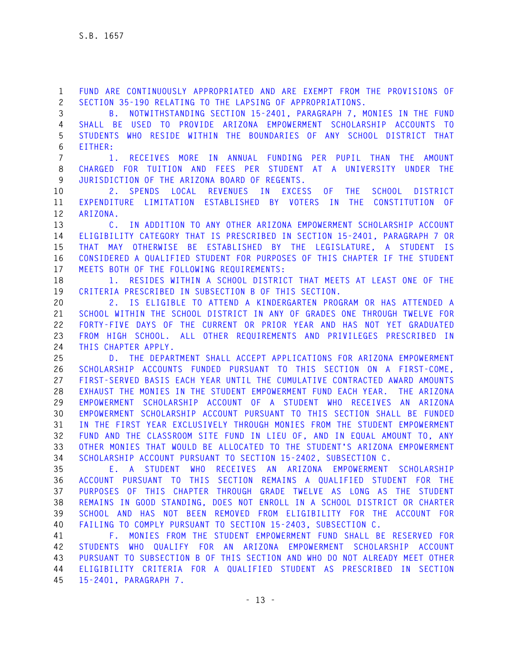**1 FUND ARE CONTINUOUSLY APPROPRIATED AND ARE EXEMPT FROM THE PROVISIONS OF 2 SECTION 35-190 RELATING TO THE LAPSING OF APPROPRIATIONS.** 

**3 B. NOTWITHSTANDING SECTION 15-2401, PARAGRAPH 7, MONIES IN THE FUND 4 SHALL BE USED TO PROVIDE ARIZONA EMPOWERMENT SCHOLARSHIP ACCOUNTS TO 5 STUDENTS WHO RESIDE WITHIN THE BOUNDARIES OF ANY SCHOOL DISTRICT THAT 6 EITHER:** 

**7 1. RECEIVES MORE IN ANNUAL FUNDING PER PUPIL THAN THE AMOUNT 8 CHARGED FOR TUITION AND FEES PER STUDENT AT A UNIVERSITY UNDER THE 9 JURISDICTION OF THE ARIZONA BOARD OF REGENTS.** 

**10 2. SPENDS LOCAL REVENUES IN EXCESS OF THE SCHOOL DISTRICT 11 EXPENDITURE LIMITATION ESTABLISHED BY VOTERS IN THE CONSTITUTION OF 12 ARIZONA.** 

**13 C. IN ADDITION TO ANY OTHER ARIZONA EMPOWERMENT SCHOLARSHIP ACCOUNT 14 ELIGIBILITY CATEGORY THAT IS PRESCRIBED IN SECTION 15-2401, PARAGRAPH 7 OR 15 THAT MAY OTHERWISE BE ESTABLISHED BY THE LEGISLATURE, A STUDENT IS 16 CONSIDERED A QUALIFIED STUDENT FOR PURPOSES OF THIS CHAPTER IF THE STUDENT 17 MEETS BOTH OF THE FOLLOWING REQUIREMENTS:** 

**18 1. RESIDES WITHIN A SCHOOL DISTRICT THAT MEETS AT LEAST ONE OF THE 19 CRITERIA PRESCRIBED IN SUBSECTION B OF THIS SECTION.** 

**20 2. IS ELIGIBLE TO ATTEND A KINDERGARTEN PROGRAM OR HAS ATTENDED A 21 SCHOOL WITHIN THE SCHOOL DISTRICT IN ANY OF GRADES ONE THROUGH TWELVE FOR 22 FORTY-FIVE DAYS OF THE CURRENT OR PRIOR YEAR AND HAS NOT YET GRADUATED 23 FROM HIGH SCHOOL. ALL OTHER REQUIREMENTS AND PRIVILEGES PRESCRIBED IN 24 THIS CHAPTER APPLY.** 

**25 D. THE DEPARTMENT SHALL ACCEPT APPLICATIONS FOR ARIZONA EMPOWERMENT 26 SCHOLARSHIP ACCOUNTS FUNDED PURSUANT TO THIS SECTION ON A FIRST-COME, 27 FIRST-SERVED BASIS EACH YEAR UNTIL THE CUMULATIVE CONTRACTED AWARD AMOUNTS 28 EXHAUST THE MONIES IN THE STUDENT EMPOWERMENT FUND EACH YEAR. THE ARIZONA 29 EMPOWERMENT SCHOLARSHIP ACCOUNT OF A STUDENT WHO RECEIVES AN ARIZONA 30 EMPOWERMENT SCHOLARSHIP ACCOUNT PURSUANT TO THIS SECTION SHALL BE FUNDED 31 IN THE FIRST YEAR EXCLUSIVELY THROUGH MONIES FROM THE STUDENT EMPOWERMENT 32 FUND AND THE CLASSROOM SITE FUND IN LIEU OF, AND IN EQUAL AMOUNT TO, ANY 33 OTHER MONIES THAT WOULD BE ALLOCATED TO THE STUDENT'S ARIZONA EMPOWERMENT 34 SCHOLARSHIP ACCOUNT PURSUANT TO SECTION 15-2402, SUBSECTION C.** 

**35 E. A STUDENT WHO RECEIVES AN ARIZONA EMPOWERMENT SCHOLARSHIP 36 ACCOUNT PURSUANT TO THIS SECTION REMAINS A QUALIFIED STUDENT FOR THE 37 PURPOSES OF THIS CHAPTER THROUGH GRADE TWELVE AS LONG AS THE STUDENT 38 REMAINS IN GOOD STANDING, DOES NOT ENROLL IN A SCHOOL DISTRICT OR CHARTER 39 SCHOOL AND HAS NOT BEEN REMOVED FROM ELIGIBILITY FOR THE ACCOUNT FOR 40 FAILING TO COMPLY PURSUANT TO SECTION 15-2403, SUBSECTION C.** 

**41 F. MONIES FROM THE STUDENT EMPOWERMENT FUND SHALL BE RESERVED FOR 42 STUDENTS WHO QUALIFY FOR AN ARIZONA EMPOWERMENT SCHOLARSHIP ACCOUNT 43 PURSUANT TO SUBSECTION B OF THIS SECTION AND WHO DO NOT ALREADY MEET OTHER 44 ELIGIBILITY CRITERIA FOR A QUALIFIED STUDENT AS PRESCRIBED IN SECTION 45 15-2401, PARAGRAPH 7.**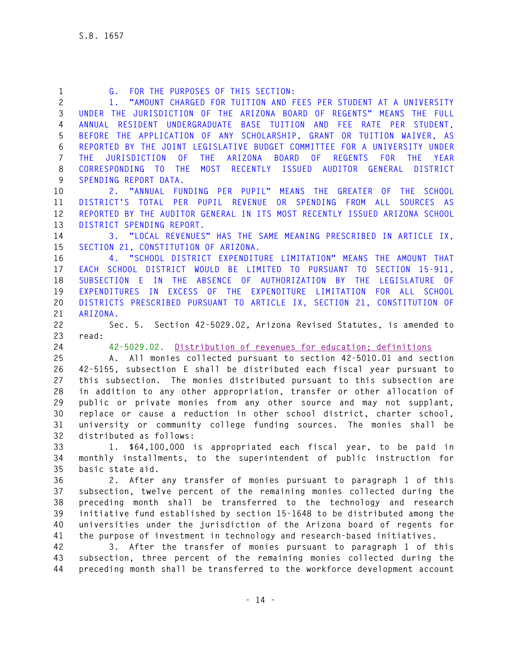| 1            | FOR THE PURPOSES OF THIS SECTION:<br>G.                                                                                                             |
|--------------|-----------------------------------------------------------------------------------------------------------------------------------------------------|
| $\mathbf{2}$ | "AMOUNT CHARGED FOR TUITION AND FEES PER STUDENT AT A UNIVERSITY                                                                                    |
| 3            | UNDER THE JURISDICTION OF THE ARIZONA BOARD OF REGENTS" MEANS THE FULL                                                                              |
| 4            | ANNUAL RESIDENT UNDERGRADUATE BASE TUITION AND FEE RATE PER STUDENT,                                                                                |
| 5            | BEFORE THE APPLICATION OF ANY SCHOLARSHIP, GRANT OR TUITION WAIVER, AS                                                                              |
| 6            | REPORTED BY THE JOINT LEGISLATIVE BUDGET COMMITTEE FOR A UNIVERSITY UNDER                                                                           |
| 7            | THE ARIZONA BOARD OF REGENTS<br><b>JURISDICTION</b><br>0 <sup>F</sup><br><b>FOR</b><br><b>THE</b><br>YEAR<br><b>THE</b>                             |
| 8            | CORRESPONDING TO<br><b>THE</b><br>MOST RECENTLY ISSUED AUDITOR GENERAL DISTRICT                                                                     |
| 9            | SPENDING REPORT DATA.                                                                                                                               |
| 10           | 2. "ANNUAL FUNDING PER PUPIL" MEANS THE GREATER OF THE SCHOOL                                                                                       |
| 11           | DISTRICT'S TOTAL PER PUPIL REVENUE OR SPENDING FROM ALL<br>SOURCES AS                                                                               |
| 12           | REPORTED BY THE AUDITOR GENERAL IN ITS MOST RECENTLY ISSUED ARIZONA SCHOOL                                                                          |
| 13           | DISTRICT SPENDING REPORT.                                                                                                                           |
| 14           | 3. "LOCAL REVENUES" HAS THE SAME MEANING PRESCRIBED IN ARTICLE IX,                                                                                  |
| 15           | SECTION 21, CONSTITUTION OF ARIZONA.                                                                                                                |
| 16           | 4. "SCHOOL DISTRICT EXPENDITURE LIMITATION" MEANS THE AMOUNT THAT                                                                                   |
| 17           | EACH SCHOOL DISTRICT WOULD BE LIMITED TO PURSUANT TO SECTION 15-911,                                                                                |
| 18           | SUBSECTION E IN THE ABSENCE OF AUTHORIZATION BY THE LEGISLATURE OF                                                                                  |
| 19           | EXPENDITURES IN EXCESS OF THE EXPENDITURE LIMITATION FOR ALL SCHOOL                                                                                 |
| 20           | DISTRICTS PRESCRIBED PURSUANT TO ARTICLE IX, SECTION 21, CONSTITUTION OF                                                                            |
| 21           | ARIZONA.                                                                                                                                            |
| 22           | Sec. 5. Section 42-5029.02, Arizona Revised Statutes, is amended to                                                                                 |
| 23           | read:                                                                                                                                               |
| 24           | 42-5029.02. Distribution of revenues for education; definitions                                                                                     |
| 25           | A. All monies collected pursuant to section 42-5010.01 and section                                                                                  |
| 26           | 42-5155, subsection E shall be distributed each fiscal year pursuant to                                                                             |
| 27           | this subsection. The monies distributed pursuant to this subsection are                                                                             |
| 28           | in addition to any other appropriation, transfer or other allocation of                                                                             |
| 29           | public or private monies from any other source and may not supplant,                                                                                |
| 30           | replace or cause a reduction in other school district, charter school,                                                                              |
| 31           | university or community college funding sources. The monies shall be                                                                                |
| 32           | distributed as follows:                                                                                                                             |
| 33           | 1. \$64,100,000 is appropriated each fiscal year, to be paid in                                                                                     |
| 34           | monthly installments, to the superintendent of public instruction for                                                                               |
| 35           | basic state aid.                                                                                                                                    |
| 36           | 2. After any transfer of monies pursuant to paragraph 1 of this                                                                                     |
| 37           | subsection, twelve percent of the remaining monies collected during the                                                                             |
| 38           | preceding month shall be transferred to the technology and research                                                                                 |
| 39           | initiative fund established by section 15-1648 to be distributed among the                                                                          |
| 40           | universities under the jurisdiction of the Arizona board of regents for                                                                             |
| 41           |                                                                                                                                                     |
|              | the purpose of investment in technology and research-based initiatives.                                                                             |
| 42           | 3. After the transfer of monies pursuant to paragraph 1 of this                                                                                     |
| 43           | subsection, three percent of the remaining monies collected during the<br>preceding month shall be transferred to the workforce development account |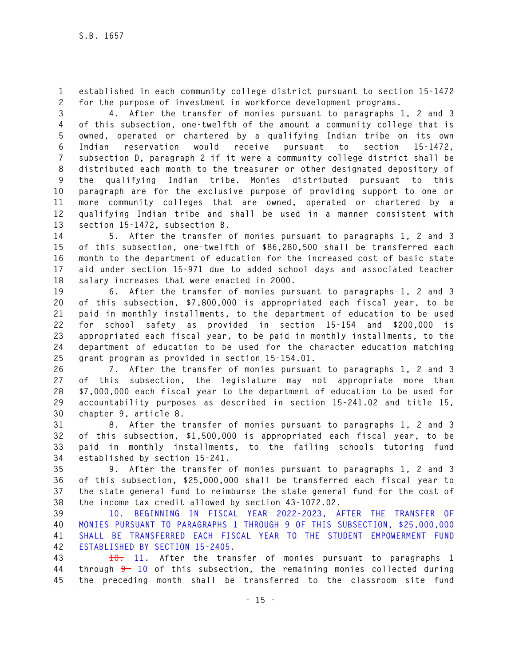**1 established in each community college district pursuant to section 15-1472 2 for the purpose of investment in workforce development programs.** 

**3 4. After the transfer of monies pursuant to paragraphs 1, 2 and 3 4 of this subsection, one-twelfth of the amount a community college that is 5 owned, operated or chartered by a qualifying Indian tribe on its own 6 Indian reservation would receive pursuant to section 15-1472, 7 subsection D, paragraph 2 if it were a community college district shall be 8 distributed each month to the treasurer or other designated depository of 9 the qualifying Indian tribe. Monies distributed pursuant to this 10 paragraph are for the exclusive purpose of providing support to one or 11 more community colleges that are owned, operated or chartered by a 12 qualifying Indian tribe and shall be used in a manner consistent with 13 section 15-1472, subsection B.** 

**14 5. After the transfer of monies pursuant to paragraphs 1, 2 and 3 15 of this subsection, one-twelfth of \$86,280,500 shall be transferred each 16 month to the department of education for the increased cost of basic state 17 aid under section 15-971 due to added school days and associated teacher 18 salary increases that were enacted in 2000.** 

**19 6. After the transfer of monies pursuant to paragraphs 1, 2 and 3 20 of this subsection, \$7,800,000 is appropriated each fiscal year, to be 21 paid in monthly installments, to the department of education to be used 22 for school safety as provided in section 15-154 and \$200,000 is 23 appropriated each fiscal year, to be paid in monthly installments, to the 24 department of education to be used for the character education matching 25 grant program as provided in section 15-154.01.** 

**26 7. After the transfer of monies pursuant to paragraphs 1, 2 and 3 27 of this subsection, the legislature may not appropriate more than 28 \$7,000,000 each fiscal year to the department of education to be used for 29 accountability purposes as described in section 15-241.02 and title 15, 30 chapter 9, article 8.** 

**31 8. After the transfer of monies pursuant to paragraphs 1, 2 and 3 32 of this subsection, \$1,500,000 is appropriated each fiscal year, to be 33 paid in monthly installments, to the failing schools tutoring fund 34 established by section 15-241.** 

**35 9. After the transfer of monies pursuant to paragraphs 1, 2 and 3 36 of this subsection, \$25,000,000 shall be transferred each fiscal year to 37 the state general fund to reimburse the state general fund for the cost of 38 the income tax credit allowed by section 43-1072.02.** 

**39 10. BEGINNING IN FISCAL YEAR 2022-2023, AFTER THE TRANSFER OF 40 MONIES PURSUANT TO PARAGRAPHS 1 THROUGH 9 OF THIS SUBSECTION, \$25,000,000 41 SHALL BE TRANSFERRED EACH FISCAL YEAR TO THE STUDENT EMPOWERMENT FUND 42 ESTABLISHED BY SECTION 15-2405.** 

**43 10. 11. After the transfer of monies pursuant to paragraphs 1 44 through 9 10 of this subsection, the remaining monies collected during 45 the preceding month shall be transferred to the classroom site fund**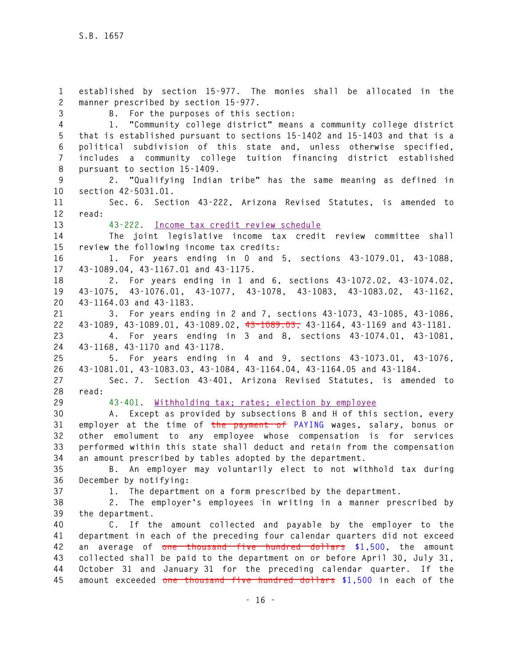**1 established by section 15-977. The monies shall be allocated in the 2 manner prescribed by section 15-977. 3 B. For the purposes of this section: 4 1. "Community college district" means a community college district 5 that is established pursuant to sections 15-1402 and 15-1403 and that is a 6 political subdivision of this state and, unless otherwise specified, 7 includes a community college tuition financing district established 8 pursuant to section 15-1409. 9 2. "Qualifying Indian tribe" has the same meaning as defined in 10 section 42-5031.01. 11 Sec. 6. Section 43-222, Arizona Revised Statutes, is amended to 12 read: 13 43-222. Income tax credit review schedule 14 The joint legislative income tax credit review committee shall 15 review the following income tax credits: 16 1. For years ending in 0 and 5, sections 43-1079.01, 43-1088, 17 43-1089.04, 43-1167.01 and 43-1175. 18 2. For years ending in 1 and 6, sections 43-1072.02, 43-1074.02, 19 43-1075, 43-1076.01, 43-1077, 43-1078, 43-1083, 43-1083.02, 43-1162, 20 43-1164.03 and 43-1183. 21 3. For years ending in 2 and 7, sections 43-1073, 43-1085, 43-1086, 22 43-1089, 43-1089.01, 43-1089.02, 43-1089.03, 43-1164, 43-1169 and 43-1181. 23 4. For years ending in 3 and 8, sections 43-1074.01, 43-1081, 24 43-1168, 43-1170 and 43-1178. 25 5. For years ending in 4 and 9, sections 43-1073.01, 43-1076, 26 43-1081.01, 43-1083.03, 43-1084, 43-1164.04, 43-1164.05 and 43-1184. 27 Sec. 7. Section 43-401, Arizona Revised Statutes, is amended to 28 read: 29 43-401. Withholding tax; rates; election by employee 30 A. Except as provided by subsections B and H of this section, every 31 employer at the time of the payment of PAYING wages, salary, bonus or 32 other emolument to any employee whose compensation is for services 33 performed within this state shall deduct and retain from the compensation 34 an amount prescribed by tables adopted by the department. 35 B. An employer may voluntarily elect to not withhold tax during 36 December by notifying: 37 1. The department on a form prescribed by the department. 38 2. The employer's employees in writing in a manner prescribed by 39 the department. 40 C. If the amount collected and payable by the employer to the 41 department in each of the preceding four calendar quarters did not exceed 42 an average of one thousand five hundred dollars \$1,500, the amount 43 collected shall be paid to the department on or before April 30, July 31, 44 October 31 and January 31 for the preceding calendar quarter. If the 45 amount exceeded one thousand five hundred dollars \$1,500 in each of the**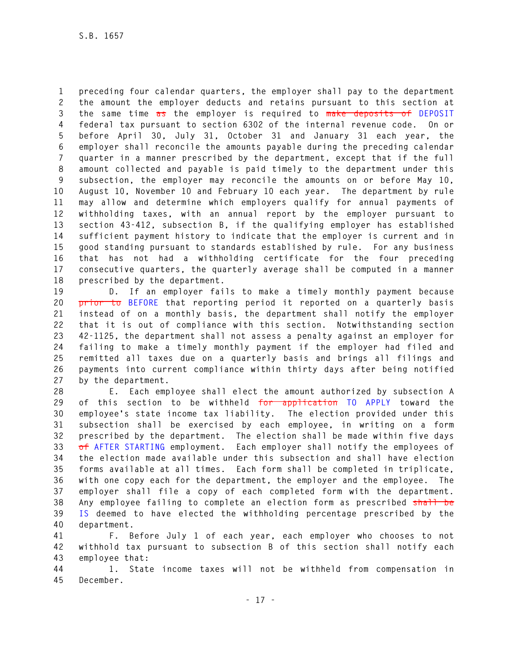**1 preceding four calendar quarters, the employer shall pay to the department 2 the amount the employer deducts and retains pursuant to this section at 3 the same time as the employer is required to make deposits of DEPOSIT 4 federal tax pursuant to section 6302 of the internal revenue code. On or 5 before April 30, July 31, October 31 and January 31 each year, the 6 employer shall reconcile the amounts payable during the preceding calendar 7 quarter in a manner prescribed by the department, except that if the full 8 amount collected and payable is paid timely to the department under this 9 subsection, the employer may reconcile the amounts on or before May 10, 10 August 10, November 10 and February 10 each year. The department by rule 11 may allow and determine which employers qualify for annual payments of 12 withholding taxes, with an annual report by the employer pursuant to 13 section 43-412, subsection B, if the qualifying employer has established 14 sufficient payment history to indicate that the employer is current and in 15 good standing pursuant to standards established by rule. For any business 16 that has not had a withholding certificate for the four preceding 17 consecutive quarters, the quarterly average shall be computed in a manner 18 prescribed by the department.** 

**19 D. If an employer fails to make a timely monthly payment because 20 prior to BEFORE that reporting period it reported on a quarterly basis 21 instead of on a monthly basis, the department shall notify the employer 22 that it is out of compliance with this section. Notwithstanding section 23 42-1125, the department shall not assess a penalty against an employer for 24 failing to make a timely monthly payment if the employer had filed and 25 remitted all taxes due on a quarterly basis and brings all filings and 26 payments into current compliance within thirty days after being notified 27 by the department.** 

**28 E. Each employee shall elect the amount authorized by subsection A 29 of this section to be withheld for application TO APPLY toward the 30 employee's state income tax liability. The election provided under this 31 subsection shall be exercised by each employee, in writing on a form 32 prescribed by the department. The election shall be made within five days 33 of AFTER STARTING employment. Each employer shall notify the employees of 34 the election made available under this subsection and shall have election 35 forms available at all times. Each form shall be completed in triplicate, 36 with one copy each for the department, the employer and the employee. The 37 employer shall file a copy of each completed form with the department. 38 Any employee failing to complete an election form as prescribed shall be 39 IS deemed to have elected the withholding percentage prescribed by the 40 department.** 

**41 F. Before July 1 of each year, each employer who chooses to not 42 withhold tax pursuant to subsection B of this section shall notify each 43 employee that:** 

**44 1. State income taxes will not be withheld from compensation in 45 December.**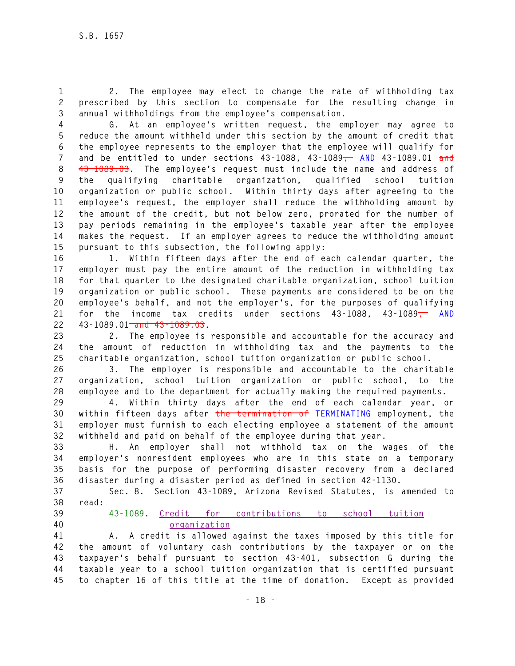**1 2. The employee may elect to change the rate of withholding tax 2 prescribed by this section to compensate for the resulting change in 3 annual withholdings from the employee's compensation.** 

**4 G. At an employee's written request, the employer may agree to 5 reduce the amount withheld under this section by the amount of credit that 6 the employee represents to the employer that the employee will qualify for 7 and be entitled to under sections 43-1088, 43-1089, AND 43-1089.01 and 8 43-1089.03. The employee's request must include the name and address of 9 the qualifying charitable organization, qualified school tuition 10 organization or public school. Within thirty days after agreeing to the 11 employee's request, the employer shall reduce the withholding amount by 12 the amount of the credit, but not below zero, prorated for the number of 13 pay periods remaining in the employee's taxable year after the employee 14 makes the request. If an employer agrees to reduce the withholding amount 15 pursuant to this subsection, the following apply:** 

**16 1. Within fifteen days after the end of each calendar quarter, the 17 employer must pay the entire amount of the reduction in withholding tax 18 for that quarter to the designated charitable organization, school tuition 19 organization or public school. These payments are considered to be on the 20 employee's behalf, and not the employer's, for the purposes of qualifying 21 for the income tax credits under sections 43-1088, 43-1089, AND 22 43-1089.01 and 43-1089.03.** 

**23 2. The employee is responsible and accountable for the accuracy and 24 the amount of reduction in withholding tax and the payments to the 25 charitable organization, school tuition organization or public school.** 

**26 3. The employer is responsible and accountable to the charitable 27 organization, school tuition organization or public school, to the 28 employee and to the department for actually making the required payments.** 

**29 4. Within thirty days after the end of each calendar year, or 30 within fifteen days after the termination of TERMINATING employment, the 31 employer must furnish to each electing employee a statement of the amount 32 withheld and paid on behalf of the employee during that year.** 

**33 H. An employer shall not withhold tax on the wages of the 34 employer's nonresident employees who are in this state on a temporary 35 basis for the purpose of performing disaster recovery from a declared 36 disaster during a disaster period as defined in section 42-1130.** 

**37 Sec. 8. Section 43-1089, Arizona Revised Statutes, is amended to 38 read:** 

- 
- 

**39 43-1089. Credit for contributions to school tuition 40 organization**

**41 A. A credit is allowed against the taxes imposed by this title for 42 the amount of voluntary cash contributions by the taxpayer or on the 43 taxpayer's behalf pursuant to section 43-401, subsection G during the 44 taxable year to a school tuition organization that is certified pursuant 45 to chapter 16 of this title at the time of donation. Except as provided**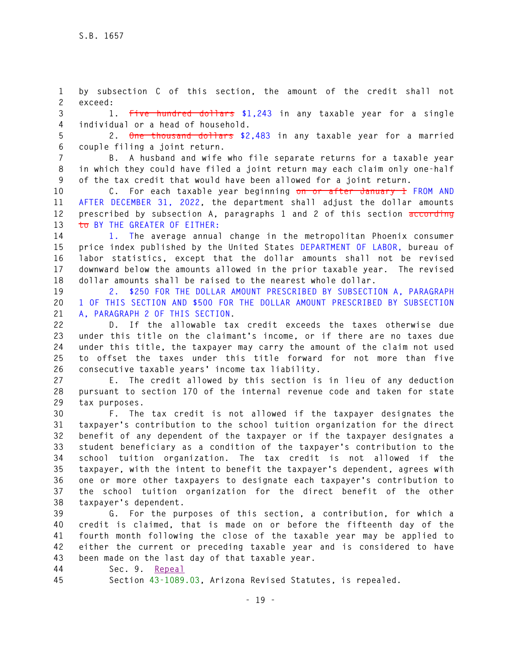**1 by subsection C of this section, the amount of the credit shall not 2 exceed:** 

**3 1. Five hundred dollars \$1,243 in any taxable year for a single 4 individual or a head of household.** 

**5 2. One thousand dollars \$2,483 in any taxable year for a married 6 couple filing a joint return.** 

**7 B. A husband and wife who file separate returns for a taxable year 8 in which they could have filed a joint return may each claim only one-half 9 of the tax credit that would have been allowed for a joint return.** 

**10 C. For each taxable year beginning on or after January 1 FROM AND 11 AFTER DECEMBER 31, 2022, the department shall adjust the dollar amounts 12 prescribed by subsection A, paragraphs 1 and 2 of this section according 13 to BY THE GREATER OF EITHER:** 

**14 1. The average annual change in the metropolitan Phoenix consumer 15 price index published by the United States DEPARTMENT OF LABOR, bureau of 16 labor statistics, except that the dollar amounts shall not be revised 17 downward below the amounts allowed in the prior taxable year. The revised 18 dollar amounts shall be raised to the nearest whole dollar.** 

**19 2. \$250 FOR THE DOLLAR AMOUNT PRESCRIBED BY SUBSECTION A, PARAGRAPH 20 1 OF THIS SECTION AND \$500 FOR THE DOLLAR AMOUNT PRESCRIBED BY SUBSECTION 21 A, PARAGRAPH 2 OF THIS SECTION.**

**22 D. If the allowable tax credit exceeds the taxes otherwise due 23 under this title on the claimant's income, or if there are no taxes due 24 under this title, the taxpayer may carry the amount of the claim not used 25 to offset the taxes under this title forward for not more than five 26 consecutive taxable years' income tax liability.** 

**27 E. The credit allowed by this section is in lieu of any deduction 28 pursuant to section 170 of the internal revenue code and taken for state 29 tax purposes.** 

**30 F. The tax credit is not allowed if the taxpayer designates the 31 taxpayer's contribution to the school tuition organization for the direct 32 benefit of any dependent of the taxpayer or if the taxpayer designates a 33 student beneficiary as a condition of the taxpayer's contribution to the 34 school tuition organization. The tax credit is not allowed if the 35 taxpayer, with the intent to benefit the taxpayer's dependent, agrees with 36 one or more other taxpayers to designate each taxpayer's contribution to 37 the school tuition organization for the direct benefit of the other 38 taxpayer's dependent.** 

**39 G. For the purposes of this section, a contribution, for which a 40 credit is claimed, that is made on or before the fifteenth day of the 41 fourth month following the close of the taxable year may be applied to 42 either the current or preceding taxable year and is considered to have 43 been made on the last day of that taxable year.** 

**44 Sec. 9. Repeal**

**45 Section 43-1089.03, Arizona Revised Statutes, is repealed.**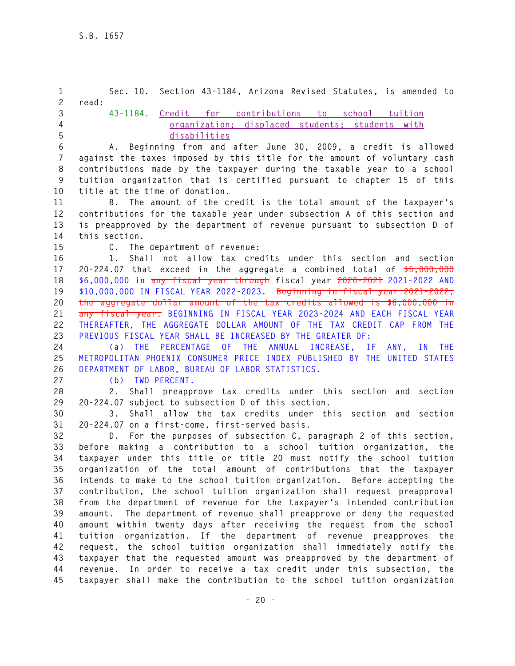**1 Sec. 10. Section 43-1184, Arizona Revised Statutes, is amended to 2 read: 3 43-1184. Credit for contributions to school tuition 4 organization; displaced students; students with 5 disabilities 6 A. Beginning from and after June 30, 2009, a credit is allowed 7 against the taxes imposed by this title for the amount of voluntary cash 8 contributions made by the taxpayer during the taxable year to a school 9 tuition organization that is certified pursuant to chapter 15 of this 10 title at the time of donation. 11 B. The amount of the credit is the total amount of the taxpayer's 12 contributions for the taxable year under subsection A of this section and 13 is preapproved by the department of revenue pursuant to subsection D of 14 this section. 15 C. The department of revenue: 16 1. Shall not allow tax credits under this section and section 17 20-224.07 that exceed in the aggregate a combined total of \$5,000,000 18 \$6,000,000 in any fiscal year through fiscal year 2020-2021 2021-2022 AND 19 \$10,000,000 IN FISCAL YEAR 2022-2023. Beginning in fiscal year 2021-2022, 20 the aggregate dollar amount of the tax credits allowed is \$6,000,000 in 21 any fiscal year. BEGINNING IN FISCAL YEAR 2023-2024 AND EACH FISCAL YEAR 22 THEREAFTER, THE AGGREGATE DOLLAR AMOUNT OF THE TAX CREDIT CAP FROM THE 23 PREVIOUS FISCAL YEAR SHALL BE INCREASED BY THE GREATER OF: 24 (a) THE PERCENTAGE OF THE ANNUAL INCREASE, IF ANY, IN THE 25 METROPOLITAN PHOENIX CONSUMER PRICE INDEX PUBLISHED BY THE UNITED STATES 26 DEPARTMENT OF LABOR, BUREAU OF LABOR STATISTICS. 27 (b) TWO PERCENT. 28 2. Shall preapprove tax credits under this section and section 29 20-224.07 subject to subsection D of this section. 30 3. Shall allow the tax credits under this section and section 31 20-224.07 on a first-come, first-served basis. 32 D. For the purposes of subsection C, paragraph 2 of this section, 33 before making a contribution to a school tuition organization, the 34 taxpayer under this title or title 20 must notify the school tuition 35 organization of the total amount of contributions that the taxpayer 36 intends to make to the school tuition organization. Before accepting the 37 contribution, the school tuition organization shall request preapproval 38 from the department of revenue for the taxpayer's intended contribution 39 amount. The department of revenue shall preapprove or deny the requested 40 amount within twenty days after receiving the request from the school 41 tuition organization. If the department of revenue preapproves the 42 request, the school tuition organization shall immediately notify the 43 taxpayer that the requested amount was preapproved by the department of 44 revenue. In order to receive a tax credit under this subsection, the 45 taxpayer shall make the contribution to the school tuition organization**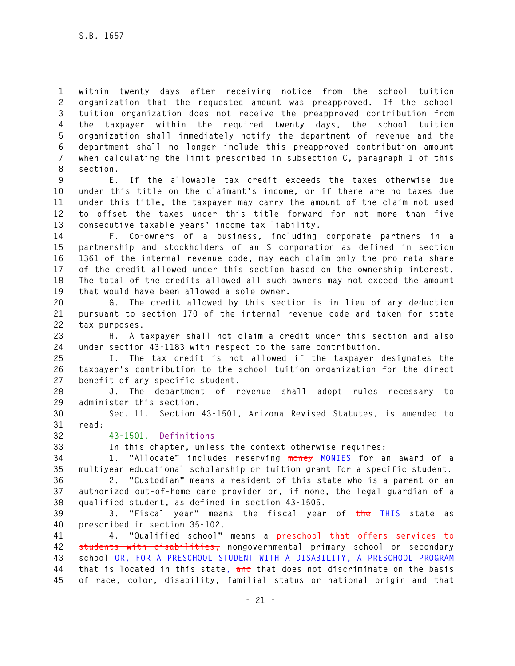**1 within twenty days after receiving notice from the school tuition 2 organization that the requested amount was preapproved. If the school 3 tuition organization does not receive the preapproved contribution from 4 the taxpayer within the required twenty days, the school tuition 5 organization shall immediately notify the department of revenue and the 6 department shall no longer include this preapproved contribution amount 7 when calculating the limit prescribed in subsection C, paragraph 1 of this 8 section.** 

**9 E. If the allowable tax credit exceeds the taxes otherwise due 10 under this title on the claimant's income, or if there are no taxes due 11 under this title, the taxpayer may carry the amount of the claim not used 12 to offset the taxes under this title forward for not more than five 13 consecutive taxable years' income tax liability.** 

**14 F. Co-owners of a business, including corporate partners in a 15 partnership and stockholders of an S corporation as defined in section 16 1361 of the internal revenue code, may each claim only the pro rata share 17 of the credit allowed under this section based on the ownership interest. 18 The total of the credits allowed all such owners may not exceed the amount 19 that would have been allowed a sole owner.** 

**20 G. The credit allowed by this section is in lieu of any deduction 21 pursuant to section 170 of the internal revenue code and taken for state 22 tax purposes.** 

**23 H. A taxpayer shall not claim a credit under this section and also 24 under section 43-1183 with respect to the same contribution.** 

**25 I. The tax credit is not allowed if the taxpayer designates the 26 taxpayer's contribution to the school tuition organization for the direct 27 benefit of any specific student.** 

**28 J. The department of revenue shall adopt rules necessary to 29 administer this section.** 

**30 Sec. 11. Section 43-1501, Arizona Revised Statutes, is amended to 31 read:** 

**32 43-1501. Definitions**

**33 In this chapter, unless the context otherwise requires:** 

**34 1. "Allocate" includes reserving money MONIES for an award of a 35 multiyear educational scholarship or tuition grant for a specific student.** 

**36 2. "Custodian" means a resident of this state who is a parent or an 37 authorized out-of-home care provider or, if none, the legal guardian of a 38 qualified student, as defined in section 43-1505.** 

**39 3. "Fiscal year" means the fiscal year of the THIS state as 40 prescribed in section 35-102.** 

**41 4. "Qualified school" means a preschool that offers services to 42 students with disabilities, nongovernmental primary school or secondary 43 school OR, FOR A PRESCHOOL STUDENT WITH A DISABILITY, A PRESCHOOL PROGRAM 44 that is located in this state, and that does not discriminate on the basis 45 of race, color, disability, familial status or national origin and that**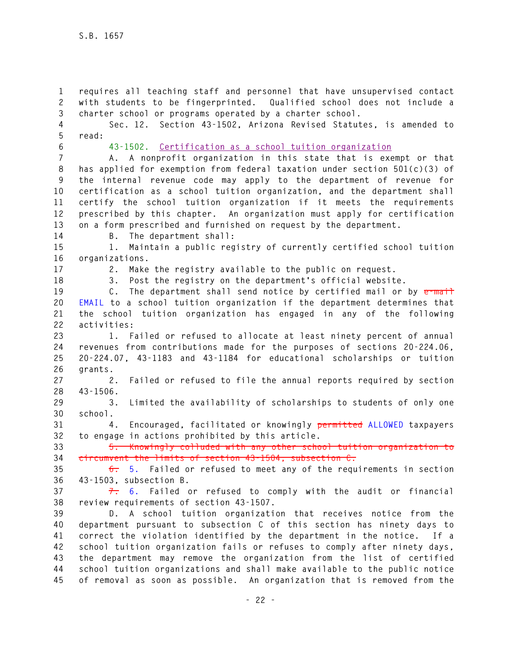**1 requires all teaching staff and personnel that have unsupervised contact 2 with students to be fingerprinted. Qualified school does not include a 3 charter school or programs operated by a charter school.** 

**4 Sec. 12. Section 43-1502, Arizona Revised Statutes, is amended to 5 read:** 

**6 43-1502. Certification as a school tuition organization**

**7 A. A nonprofit organization in this state that is exempt or that 8 has applied for exemption from federal taxation under section 501(c)(3) of 9 the internal revenue code may apply to the department of revenue for 10 certification as a school tuition organization, and the department shall 11 certify the school tuition organization if it meets the requirements 12 prescribed by this chapter. An organization must apply for certification 13 on a form prescribed and furnished on request by the department.** 

**14 B. The department shall:** 

**15 1. Maintain a public registry of currently certified school tuition 16 organizations.** 

**17 2. Make the registry available to the public on request.** 

**18 3. Post the registry on the department's official website.** 

**19 C. The department shall send notice by certified mail or by e-mail 20 EMAIL to a school tuition organization if the department determines that 21 the school tuition organization has engaged in any of the following 22 activities:** 

**23 1. Failed or refused to allocate at least ninety percent of annual 24 revenues from contributions made for the purposes of sections 20-224.06, 25 20-224.07, 43-1183 and 43-1184 for educational scholarships or tuition 26 grants.** 

**27 2. Failed or refused to file the annual reports required by section 28 43-1506.** 

**29 3. Limited the availability of scholarships to students of only one 30 school.** 

**31 4. Encouraged, facilitated or knowingly permitted ALLOWED taxpayers 32 to engage in actions prohibited by this article.** 

**33 5. Knowingly colluded with any other school tuition organization to 34 circumvent the limits of section 43-1504, subsection C.** 

**35 6. 5. Failed or refused to meet any of the requirements in section 36 43-1503, subsection B.** 

**37 7. 6. Failed or refused to comply with the audit or financial 38 review requirements of section 43-1507.** 

**39 D. A school tuition organization that receives notice from the 40 department pursuant to subsection C of this section has ninety days to 41 correct the violation identified by the department in the notice. If a 42 school tuition organization fails or refuses to comply after ninety days, 43 the department may remove the organization from the list of certified 44 school tuition organizations and shall make available to the public notice 45 of removal as soon as possible. An organization that is removed from the**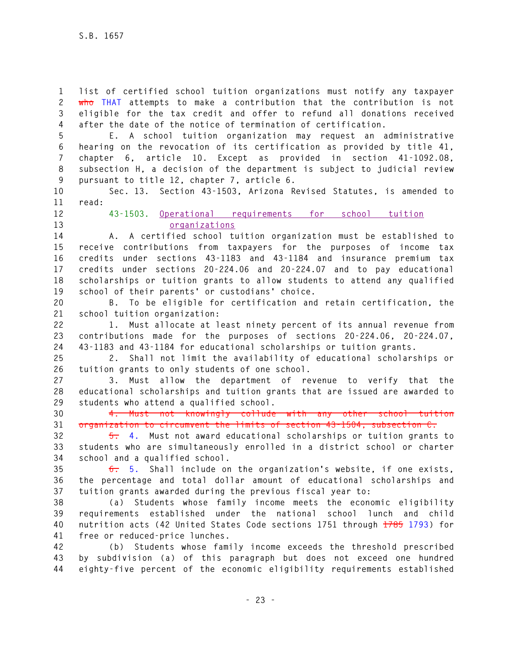**1 list of certified school tuition organizations must notify any taxpayer 2 who THAT attempts to make a contribution that the contribution is not 3 eligible for the tax credit and offer to refund all donations received 4 after the date of the notice of termination of certification.** 

**5 E. A school tuition organization may request an administrative 6 hearing on the revocation of its certification as provided by title 41, 7 chapter 6, article 10. Except as provided in section 41-1092.08, 8 subsection H, a decision of the department is subject to judicial review 9 pursuant to title 12, chapter 7, article 6.** 

**10 Sec. 13. Section 43-1503, Arizona Revised Statutes, is amended to 11 read:** 

**12 43-1503. Operational requirements for school tuition 13 organizations**

**14 A. A certified school tuition organization must be established to 15 receive contributions from taxpayers for the purposes of income tax 16 credits under sections 43-1183 and 43-1184 and insurance premium tax 17 credits under sections 20-224.06 and 20-224.07 and to pay educational 18 scholarships or tuition grants to allow students to attend any qualified 19 school of their parents' or custodians' choice.** 

**20 B. To be eligible for certification and retain certification, the 21 school tuition organization:** 

**22 1. Must allocate at least ninety percent of its annual revenue from 23 contributions made for the purposes of sections 20-224.06, 20-224.07, 24 43-1183 and 43-1184 for educational scholarships or tuition grants.** 

**25 2. Shall not limit the availability of educational scholarships or 26 tuition grants to only students of one school.** 

**27 3. Must allow the department of revenue to verify that the 28 educational scholarships and tuition grants that are issued are awarded to 29 students who attend a qualified school.** 

**30 4. Must not knowingly collude with any other school tuition 31 organization to circumvent the limits of section 43-1504, subsection C.** 

**32 5. 4. Must not award educational scholarships or tuition grants to 33 students who are simultaneously enrolled in a district school or charter 34 school and a qualified school.** 

**35 6. 5. Shall include on the organization's website, if one exists, 36 the percentage and total dollar amount of educational scholarships and 37 tuition grants awarded during the previous fiscal year to:** 

**38 (a) Students whose family income meets the economic eligibility 39 requirements established under the national school lunch and child 40 nutrition acts (42 United States Code sections 1751 through 1785 1793) for 41 free or reduced-price lunches.** 

**42 (b) Students whose family income exceeds the threshold prescribed 43 by subdivision (a) of this paragraph but does not exceed one hundred 44 eighty-five percent of the economic eligibility requirements established**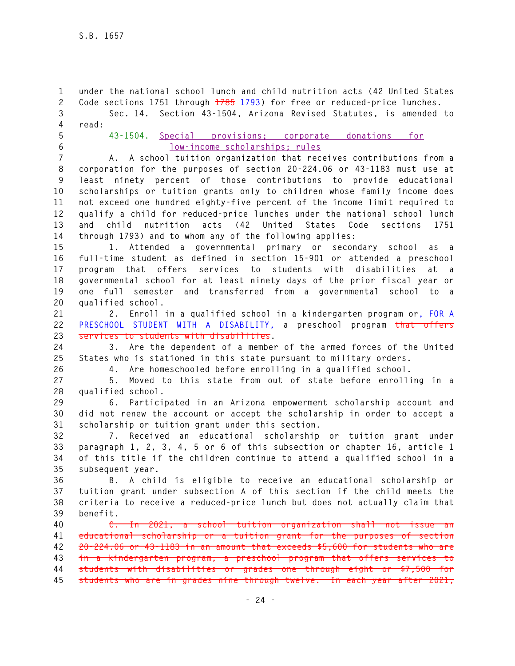**1 under the national school lunch and child nutrition acts (42 United States 2 Code sections 1751 through 1785 1793) for free or reduced-price lunches. 3 Sec. 14. Section 43-1504, Arizona Revised Statutes, is amended to 4 read:** 

- 
- **5 43-1504. Special provisions; corporate donations for 6 low-income scholarships; rules**

**7 A. A school tuition organization that receives contributions from a 8 corporation for the purposes of section 20-224.06 or 43-1183 must use at 9 least ninety percent of those contributions to provide educational 10 scholarships or tuition grants only to children whose family income does 11 not exceed one hundred eighty-five percent of the income limit required to 12 qualify a child for reduced-price lunches under the national school lunch 13 and child nutrition acts (42 United States Code sections 1751 14 through 1793) and to whom any of the following applies:** 

**15 1. Attended a governmental primary or secondary school as a 16 full-time student as defined in section 15-901 or attended a preschool 17 program that offers services to students with disabilities at a 18 governmental school for at least ninety days of the prior fiscal year or 19 one full semester and transferred from a governmental school to a 20 qualified school.** 

**21 2. Enroll in a qualified school in a kindergarten program or, FOR A 22 PRESCHOOL STUDENT WITH A DISABILITY, a preschool program that offers 23 services to students with disabilities.** 

**24 3. Are the dependent of a member of the armed forces of the United 25 States who is stationed in this state pursuant to military orders.** 

**26 4. Are homeschooled before enrolling in a qualified school.** 

**27 5. Moved to this state from out of state before enrolling in a 28 qualified school.** 

**29 6. Participated in an Arizona empowerment scholarship account and 30 did not renew the account or accept the scholarship in order to accept a 31 scholarship or tuition grant under this section.** 

**32 7. Received an educational scholarship or tuition grant under 33 paragraph 1, 2, 3, 4, 5 or 6 of this subsection or chapter 16, article 1 34 of this title if the children continue to attend a qualified school in a 35 subsequent year.** 

**36 B. A child is eligible to receive an educational scholarship or 37 tuition grant under subsection A of this section if the child meets the 38 criteria to receive a reduced-price lunch but does not actually claim that 39 benefit.** 

**40 C. In 2021, a school tuition organization shall not issue an 41 educational scholarship or a tuition grant for the purposes of section 42 20-224.06 or 43-1183 in an amount that exceeds \$5,600 for students who are 43 in a kindergarten program, a preschool program that offers services to 44 students with disabilities or grades one through eight or \$7,500 for 45 students who are in grades nine through twelve. In each year after 2021,**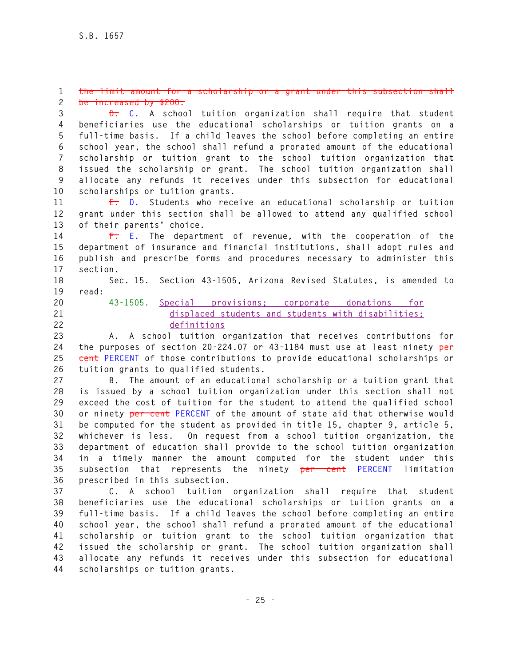#### **1 the limit amount for a scholarship or a grant under this subsection shall 2 be increased by \$200.**

**3 D. C. A school tuition organization shall require that student 4 beneficiaries use the educational scholarships or tuition grants on a 5 full-time basis. If a child leaves the school before completing an entire 6 school year, the school shall refund a prorated amount of the educational 7 scholarship or tuition grant to the school tuition organization that 8 issued the scholarship or grant. The school tuition organization shall 9 allocate any refunds it receives under this subsection for educational 10 scholarships or tuition grants.** 

**11 E. D. Students who receive an educational scholarship or tuition 12 grant under this section shall be allowed to attend any qualified school 13 of their parents' choice.** 

**14 F. E. The department of revenue, with the cooperation of the 15 department of insurance and financial institutions, shall adopt rules and 16 publish and prescribe forms and procedures necessary to administer this 17 section.** 

**18 Sec. 15. Section 43-1505, Arizona Revised Statutes, is amended to** 

- **19 read:**
- 
- 

# **20 43-1505. Special provisions; corporate donations for 21 displaced students and students with disabilities; 22 definitions**

**23 A. A school tuition organization that receives contributions for 24 the purposes of section 20-224.07 or 43-1184 must use at least ninety per 25 cent PERCENT of those contributions to provide educational scholarships or 26 tuition grants to qualified students.** 

**27 B. The amount of an educational scholarship or a tuition grant that 28 is issued by a school tuition organization under this section shall not 29 exceed the cost of tuition for the student to attend the qualified school 30 or ninety per cent PERCENT of the amount of state aid that otherwise would 31 be computed for the student as provided in title 15, chapter 9, article 5, 32 whichever is less. On request from a school tuition organization, the 33 department of education shall provide to the school tuition organization 34 in a timely manner the amount computed for the student under this 35 subsection that represents the ninety per cent PERCENT limitation 36 prescribed in this subsection.** 

**37 C. A school tuition organization shall require that student 38 beneficiaries use the educational scholarships or tuition grants on a 39 full-time basis. If a child leaves the school before completing an entire 40 school year, the school shall refund a prorated amount of the educational 41 scholarship or tuition grant to the school tuition organization that 42 issued the scholarship or grant. The school tuition organization shall 43 allocate any refunds it receives under this subsection for educational 44 scholarships or tuition grants.**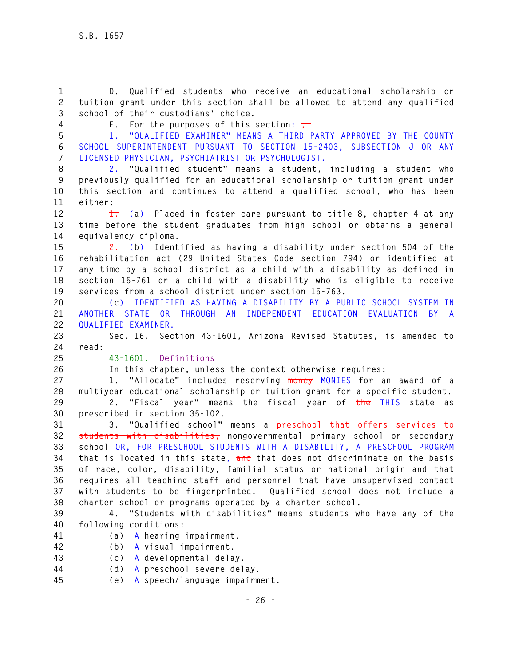**1 D. Qualified students who receive an educational scholarship or 2 tuition grant under this section shall be allowed to attend any qualified 3 school of their custodians' choice.** 

**4** E. For the purposes of this section:  $\frac{1}{10}$ 

**5 1. "QUALIFIED EXAMINER" MEANS A THIRD PARTY APPROVED BY THE COUNTY 6 SCHOOL SUPERINTENDENT PURSUANT TO SECTION 15-2403, SUBSECTION J OR ANY 7 LICENSED PHYSICIAN, PSYCHIATRIST OR PSYCHOLOGIST.** 

**8 2. "Qualified student" means a student, including a student who 9 previously qualified for an educational scholarship or tuition grant under 10 this section and continues to attend a qualified school, who has been 11 either:** 

**12 1. (a) Placed in foster care pursuant to title 8, chapter 4 at any 13 time before the student graduates from high school or obtains a general 14 equivalency diploma.** 

**15 2. (b) Identified as having a disability under section 504 of the 16 rehabilitation act (29 United States Code section 794) or identified at 17 any time by a school district as a child with a disability as defined in 18 section 15-761 or a child with a disability who is eligible to receive 19 services from a school district under section 15-763.** 

**20 (c) IDENTIFIED AS HAVING A DISABILITY BY A PUBLIC SCHOOL SYSTEM IN 21 ANOTHER STATE OR THROUGH AN INDEPENDENT EDUCATION EVALUATION BY A 22 QUALIFIED EXAMINER.** 

**23 Sec. 16. Section 43-1601, Arizona Revised Statutes, is amended to 24 read:** 

**25 43-1601. Definitions**

**26 In this chapter, unless the context otherwise requires:** 

**27 1. "Allocate" includes reserving money MONIES for an award of a 28 multiyear educational scholarship or tuition grant for a specific student.** 

**29 2. "Fiscal year" means the fiscal year of the THIS state as 30 prescribed in section 35-102.** 

**31 3. "Qualified school" means a preschool that offers services to 32 students with disabilities, nongovernmental primary school or secondary 33 school OR, FOR PRESCHOOL STUDENTS WITH A DISABILITY, A PRESCHOOL PROGRAM 34 that is located in this state, and that does not discriminate on the basis 35 of race, color, disability, familial status or national origin and that 36 requires all teaching staff and personnel that have unsupervised contact 37 with students to be fingerprinted. Qualified school does not include a 38 charter school or programs operated by a charter school.** 

**39 4. "Students with disabilities" means students who have any of the 40 following conditions:** 

- - **41 (a) A hearing impairment.**

**42 (b) A visual impairment.** 

**43 (c) A developmental delay.** 

- **44 (d) A preschool severe delay.**
- **45 (e) A speech/language impairment.**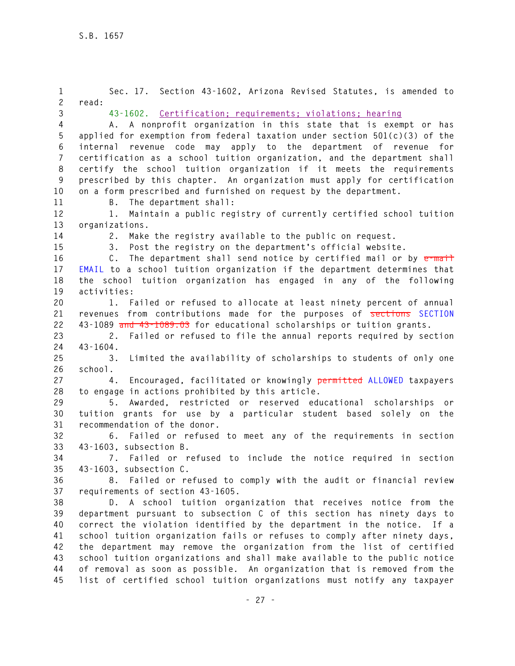| $\mathbf{1}$<br>$\overline{c}$ | Sec. 17. Section 43-1602, Arizona Revised Statutes, is amended to<br>read:         |
|--------------------------------|------------------------------------------------------------------------------------|
| 3                              | 43-1602. Certification; requirements; violations; hearing                          |
| $\overline{4}$                 | A. A nonprofit organization in this state that is exempt or has                    |
| 5                              | applied for exemption from federal taxation under section 501(c)(3) of the         |
| 6                              | internal revenue code may apply to the department of revenue<br>for                |
| $\overline{7}$                 | certification as a school tuition organization, and the department shall           |
| 8                              | certify the school tuition organization if it meets the requirements               |
| 9                              | prescribed by this chapter. An organization must apply for certification           |
| 10                             | on a form prescribed and furnished on request by the department.                   |
| 11                             | B. The department shall:                                                           |
| 12                             | Maintain a public registry of currently certified school tuition<br>1.             |
| 13                             | organizations.                                                                     |
| 14                             | Make the registry available to the public on request.<br>2.                        |
| 15                             | Post the registry on the department's official website.<br>3.                      |
| 16                             | The department shall send notice by certified mail or by e-mail<br>C.              |
| 17                             | EMAIL to a school tuition organization if the department determines that           |
| 18<br>19                       | the school tuition organization has engaged in any of the following<br>activities: |
| 20                             | 1. Failed or refused to allocate at least ninety percent of annual                 |
| 21                             | revenues from contributions made for the purposes of sections SECTION              |
| 22                             | 43-1089 and 43-1089.03 for educational scholarships or tuition grants.             |
| 23                             | Failed or refused to file the annual reports required by section<br>2.             |
| 24                             | $43 - 1604$ .                                                                      |
| 25                             | Limited the availability of scholarships to students of only one<br>3.             |
| 26                             | school.                                                                            |
| 27                             | Encouraged, facilitated or knowingly permitted ALLOWED taxpayers<br>4.             |
| 28                             | to engage in actions prohibited by this article.                                   |
| 29                             | 5. Awarded, restricted or reserved educational scholarships or                     |
| 30                             | tuition grants for use by a particular student based solely on the                 |
| 31                             | recommendation of the donor.                                                       |
| 32                             | 6. Failed or refused to meet any of the requirements in section                    |
| 33                             | 43-1603, subsection B.                                                             |
| 34                             | 7. Failed or refused to include the notice required in section                     |
| 35                             | 43-1603, subsection C.                                                             |
| 36                             | 8. Failed or refused to comply with the audit or financial review                  |
| 37                             | requirements of section 43-1605.                                                   |
| 38                             | D. A school tuition organization that receives notice from the                     |
| 39                             | department pursuant to subsection C of this section has ninety days to             |
| 40                             | correct the violation identified by the department in the notice. If a             |
| 41                             | school tuition organization fails or refuses to comply after ninety days,          |
| 42                             | the department may remove the organization from the list of certified              |
| 43                             | school tuition organizations and shall make available to the public notice         |
| 44                             | of removal as soon as possible. An organization that is removed from the           |
| 45                             | list of certified school tuition organizations must notify any taxpayer            |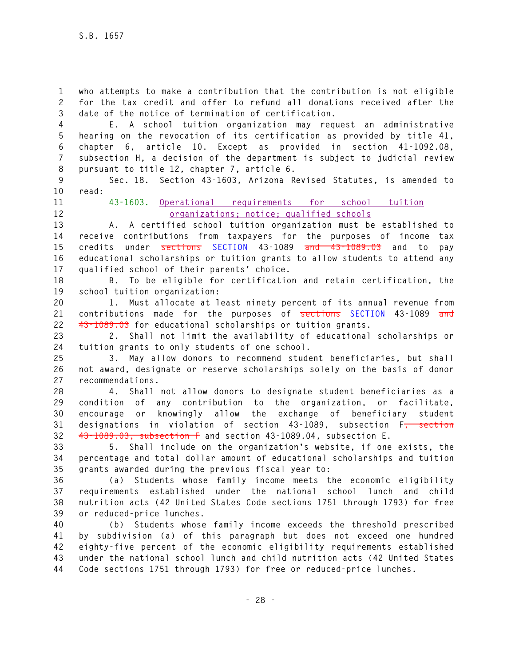**1 who attempts to make a contribution that the contribution is not eligible 2 for the tax credit and offer to refund all donations received after the 3 date of the notice of termination of certification.** 

**4 E. A school tuition organization may request an administrative 5 hearing on the revocation of its certification as provided by title 41, 6 chapter 6, article 10. Except as provided in section 41-1092.08, 7 subsection H, a decision of the department is subject to judicial review 8 pursuant to title 12, chapter 7, article 6.** 

**9 Sec. 18. Section 43-1603, Arizona Revised Statutes, is amended to 10 read:** 

# **11 43-1603. Operational requirements for school tuition 12 organizations; notice; qualified schools**

**13 A. A certified school tuition organization must be established to 14 receive contributions from taxpayers for the purposes of income tax 15 credits under sections SECTION 43-1089 and 43-1089.03 and to pay 16 educational scholarships or tuition grants to allow students to attend any 17 qualified school of their parents' choice.** 

**18 B. To be eligible for certification and retain certification, the 19 school tuition organization:** 

**20 1. Must allocate at least ninety percent of its annual revenue from 21 contributions made for the purposes of sections SECTION 43-1089 and 22 43-1089.03 for educational scholarships or tuition grants.** 

**23 2. Shall not limit the availability of educational scholarships or 24 tuition grants to only students of one school.** 

**25 3. May allow donors to recommend student beneficiaries, but shall 26 not award, designate or reserve scholarships solely on the basis of donor 27 recommendations.** 

**28 4. Shall not allow donors to designate student beneficiaries as a 29 condition of any contribution to the organization, or facilitate, 30 encourage or knowingly allow the exchange of beneficiary student 31 designations in violation of section 43-1089, subsection F, section 32 43-1089.03, subsection F and section 43-1089.04, subsection E.** 

**33 5. Shall include on the organization's website, if one exists, the 34 percentage and total dollar amount of educational scholarships and tuition 35 grants awarded during the previous fiscal year to:** 

**36 (a) Students whose family income meets the economic eligibility 37 requirements established under the national school lunch and child 38 nutrition acts (42 United States Code sections 1751 through 1793) for free 39 or reduced-price lunches.** 

**40 (b) Students whose family income exceeds the threshold prescribed 41 by subdivision (a) of this paragraph but does not exceed one hundred 42 eighty-five percent of the economic eligibility requirements established 43 under the national school lunch and child nutrition acts (42 United States 44 Code sections 1751 through 1793) for free or reduced-price lunches.**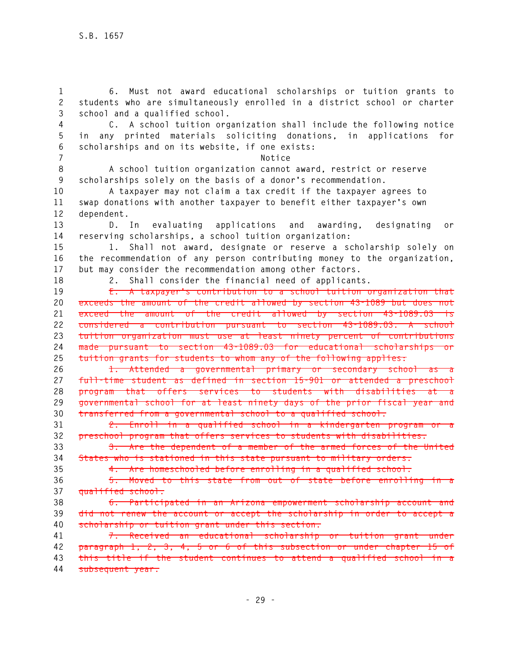**1 6. Must not award educational scholarships or tuition grants to 2 students who are simultaneously enrolled in a district school or charter 3 school and a qualified school. 4 C. A school tuition organization shall include the following notice 5 in any printed materials soliciting donations, in applications for 6 scholarships and on its website, if one exists: 7 Notice 8 A school tuition organization cannot award, restrict or reserve 9 scholarships solely on the basis of a donor's recommendation. 10 A taxpayer may not claim a tax credit if the taxpayer agrees to 11 swap donations with another taxpayer to benefit either taxpayer's own 12 dependent. 13 D. In evaluating applications and awarding, designating or 14 reserving scholarships, a school tuition organization: 15 1. Shall not award, designate or reserve a scholarship solely on 16 the recommendation of any person contributing money to the organization, 17 but may consider the recommendation among other factors. 18 2. Shall consider the financial need of applicants. 19 E. A taxpayer's contribution to a school tuition organization that 20 exceeds the amount of the credit allowed by section 43-1089 but does not 21 exceed the amount of the credit allowed by section 43-1089.03 is 22 considered a contribution pursuant to section 43-1089.03. A school 23 tuition organization must use at least ninety percent of contributions 24 made pursuant to section 43-1089.03 for educational scholarships or 25 tuition grants for students to whom any of the following applies: 26 1. Attended a governmental primary or secondary school as a 27 full-time student as defined in section 15-901 or attended a preschool 28 program that offers services to students with disabilities at a 29 governmental school for at least ninety days of the prior fiscal year and 30 transferred from a governmental school to a qualified school. 31 2. Enroll in a qualified school in a kindergarten program or a 32 preschool program that offers services to students with disabilities. 33 3. Are the dependent of a member of the armed forces of the United 34 States who is stationed in this state pursuant to military orders. 35 4. Are homeschooled before enrolling in a qualified school. 36 5. Moved to this state from out of state before enrolling in a 37 qualified school. 38 6. Participated in an Arizona empowerment scholarship account and 39 did not renew the account or accept the scholarship in order to accept a 40 scholarship or tuition grant under this section. 41 7. Received an educational scholarship or tuition grant under 42 paragraph 1, 2, 3, 4, 5 or 6 of this subsection or under chapter 15 of 43 this title if the student continues to attend a qualified school in a 44 subsequent year.**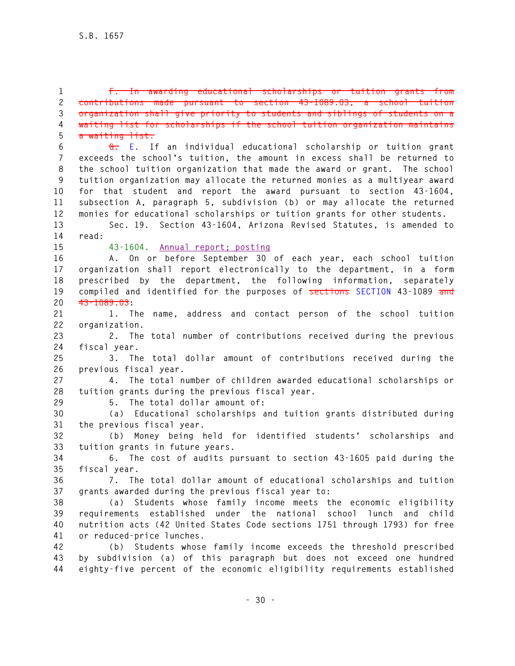**1 F. In awarding educational scholarships or tuition grants from 2 contributions made pursuant to section 43-1089.03, a school tuition 3 organization shall give priority to students and siblings of students on a 4 waiting list for scholarships if the school tuition organization maintains 5 a waiting list.** 

**6 G. E. If an individual educational scholarship or tuition grant 7 exceeds the school's tuition, the amount in excess shall be returned to 8 the school tuition organization that made the award or grant. The school 9 tuition organization may allocate the returned monies as a multiyear award 10 for that student and report the award pursuant to section 43-1604, 11 subsection A, paragraph 5, subdivision (b) or may allocate the returned 12 monies for educational scholarships or tuition grants for other students.** 

**13 Sec. 19. Section 43-1604, Arizona Revised Statutes, is amended to 14 read:** 

**15 43-1604. Annual report; posting**

**16 A. On or before September 30 of each year, each school tuition 17 organization shall report electronically to the department, in a form 18 prescribed by the department, the following information, separately 19 compiled and identified for the purposes of sections SECTION 43-1089 and 20 43-1089.03:** 

**21 1. The name, address and contact person of the school tuition 22 organization.** 

**23 2. The total number of contributions received during the previous 24 fiscal year.** 

**25 3. The total dollar amount of contributions received during the 26 previous fiscal year.** 

**27 4. The total number of children awarded educational scholarships or 28 tuition grants during the previous fiscal year.** 

**29 5. The total dollar amount of:** 

**30 (a) Educational scholarships and tuition grants distributed during 31 the previous fiscal year.** 

**32 (b) Money being held for identified students' scholarships and 33 tuition grants in future years.** 

**34 6. The cost of audits pursuant to section 43-1605 paid during the 35 fiscal year.** 

**36 7. The total dollar amount of educational scholarships and tuition 37 grants awarded during the previous fiscal year to:** 

**38 (a) Students whose family income meets the economic eligibility 39 requirements established under the national school lunch and child 40 nutrition acts (42 United States Code sections 1751 through 1793) for free 41 or reduced-price lunches.**

**42 (b) Students whose family income exceeds the threshold prescribed 43 by subdivision (a) of this paragraph but does not exceed one hundred 44 eighty-five percent of the economic eligibility requirements established**